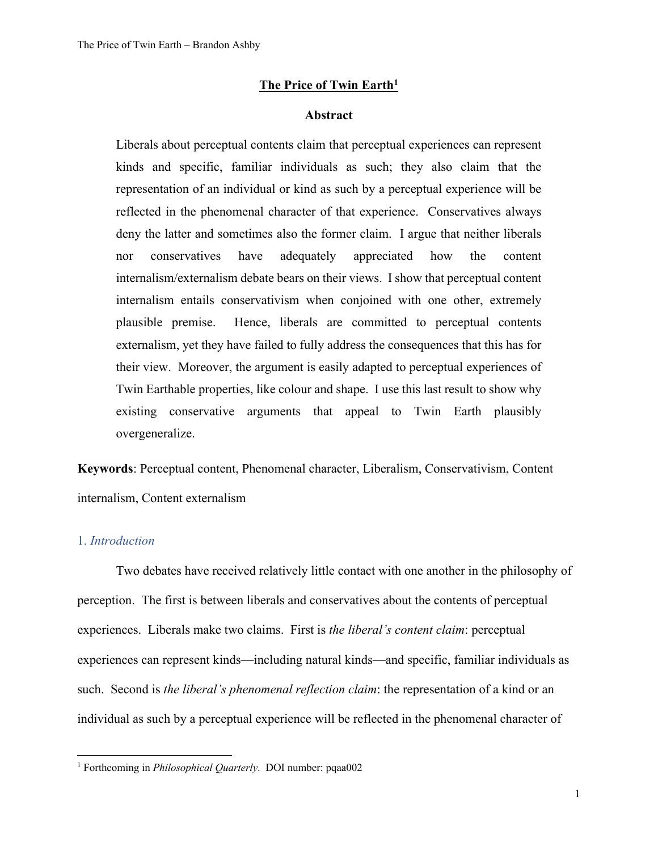## **The Price of Twin Earth<sup>1</sup>**

#### **Abstract**

Liberals about perceptual contents claim that perceptual experiences can represent kinds and specific, familiar individuals as such; they also claim that the representation of an individual or kind as such by a perceptual experience will be reflected in the phenomenal character of that experience. Conservatives always deny the latter and sometimes also the former claim. I argue that neither liberals nor conservatives have adequately appreciated how the content internalism/externalism debate bears on their views. I show that perceptual content internalism entails conservativism when conjoined with one other, extremely plausible premise. Hence, liberals are committed to perceptual contents externalism, yet they have failed to fully address the consequences that this has for their view. Moreover, the argument is easily adapted to perceptual experiences of Twin Earthable properties, like colour and shape. I use this last result to show why existing conservative arguments that appeal to Twin Earth plausibly overgeneralize.

**Keywords**: Perceptual content, Phenomenal character, Liberalism, Conservativism, Content internalism, Content externalism

# 1. *Introduction*

Two debates have received relatively little contact with one another in the philosophy of perception. The first is between liberals and conservatives about the contents of perceptual experiences. Liberals make two claims. First is *the liberal's content claim*: perceptual experiences can represent kinds—including natural kinds—and specific, familiar individuals as such. Second is *the liberal's phenomenal reflection claim*: the representation of a kind or an individual as such by a perceptual experience will be reflected in the phenomenal character of

<sup>1</sup> Forthcoming in *Philosophical Quarterly*. DOI number: pqaa002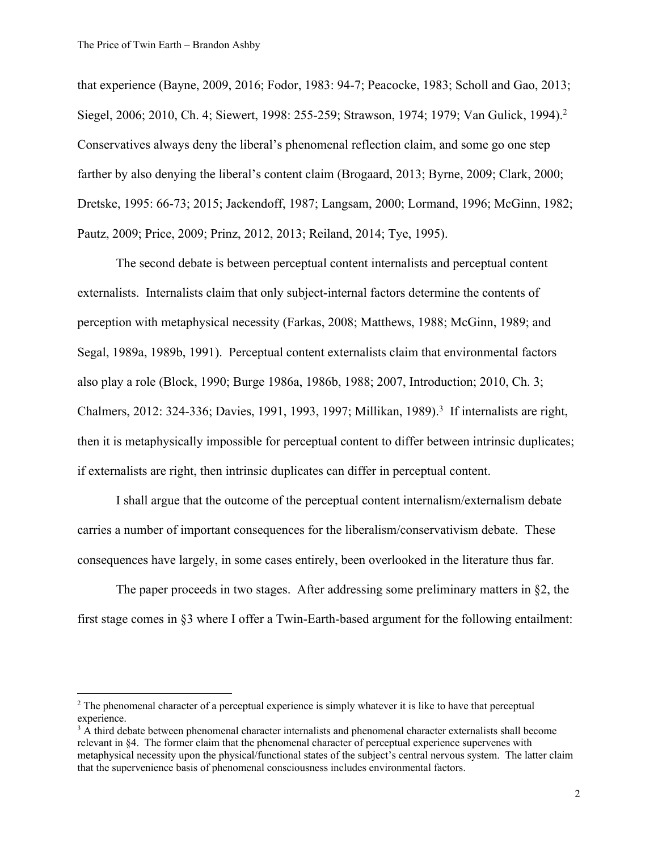that experience (Bayne, 2009, 2016; Fodor, 1983: 94-7; Peacocke, 1983; Scholl and Gao, 2013; Siegel, 2006; 2010, Ch. 4; Siewert, 1998: 255-259; Strawson, 1974; 1979; Van Gulick, 1994).2 Conservatives always deny the liberal's phenomenal reflection claim, and some go one step farther by also denying the liberal's content claim (Brogaard, 2013; Byrne, 2009; Clark, 2000; Dretske, 1995: 66-73; 2015; Jackendoff, 1987; Langsam, 2000; Lormand, 1996; McGinn, 1982; Pautz, 2009; Price, 2009; Prinz, 2012, 2013; Reiland, 2014; Tye, 1995).

The second debate is between perceptual content internalists and perceptual content externalists. Internalists claim that only subject-internal factors determine the contents of perception with metaphysical necessity (Farkas, 2008; Matthews, 1988; McGinn, 1989; and Segal, 1989a, 1989b, 1991). Perceptual content externalists claim that environmental factors also play a role (Block, 1990; Burge 1986a, 1986b, 1988; 2007, Introduction; 2010, Ch. 3; Chalmers, 2012: 324-336; Davies, 1991, 1993, 1997; Millikan, 1989).<sup>3</sup> If internalists are right, then it is metaphysically impossible for perceptual content to differ between intrinsic duplicates; if externalists are right, then intrinsic duplicates can differ in perceptual content.

I shall argue that the outcome of the perceptual content internalism/externalism debate carries a number of important consequences for the liberalism/conservativism debate. These consequences have largely, in some cases entirely, been overlooked in the literature thus far.

The paper proceeds in two stages. After addressing some preliminary matters in  $\S2$ , the first stage comes in §3 where I offer a Twin-Earth-based argument for the following entailment:

<sup>&</sup>lt;sup>2</sup> The phenomenal character of a perceptual experience is simply whatever it is like to have that perceptual experience.<br><sup>3</sup> A third debate between phenomenal character internalists and phenomenal character externalists shall become

relevant in §4. The former claim that the phenomenal character of perceptual experience supervenes with metaphysical necessity upon the physical/functional states of the subject's central nervous system. The latter claim that the supervenience basis of phenomenal consciousness includes environmental factors.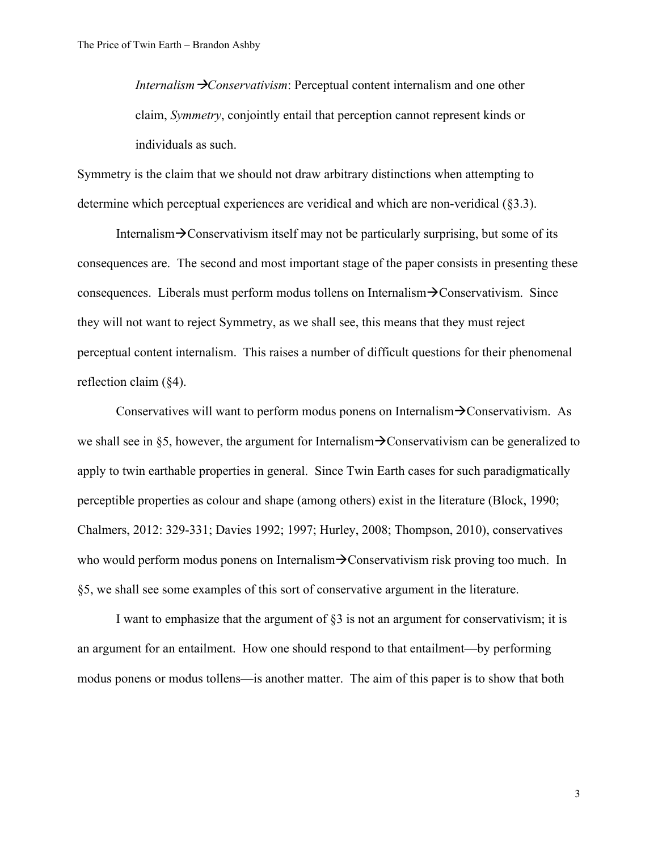*Internalism*  $\rightarrow$ *Conservativism*: Perceptual content internalism and one other claim, *Symmetry*, conjointly entail that perception cannot represent kinds or individuals as such.

Symmetry is the claim that we should not draw arbitrary distinctions when attempting to determine which perceptual experiences are veridical and which are non-veridical (§3.3).

Internalism $\rightarrow$ Conservativism itself may not be particularly surprising, but some of its consequences are. The second and most important stage of the paper consists in presenting these consequences. Liberals must perform modus tollens on Internalism $\rightarrow$ Conservativism. Since they will not want to reject Symmetry, as we shall see, this means that they must reject perceptual content internalism. This raises a number of difficult questions for their phenomenal reflection claim (§4).

Conservatives will want to perform modus ponens on Internalism $\rightarrow$ Conservativism. As we shall see in §5, however, the argument for Internalism $\rightarrow$ Conservativism can be generalized to apply to twin earthable properties in general. Since Twin Earth cases for such paradigmatically perceptible properties as colour and shape (among others) exist in the literature (Block, 1990; Chalmers, 2012: 329-331; Davies 1992; 1997; Hurley, 2008; Thompson, 2010), conservatives who would perform modus ponens on Internalism $\rightarrow$ Conservativism risk proving too much. In §5, we shall see some examples of this sort of conservative argument in the literature.

I want to emphasize that the argument of  $\S$ 3 is not an argument for conservativism; it is an argument for an entailment. How one should respond to that entailment—by performing modus ponens or modus tollens—is another matter. The aim of this paper is to show that both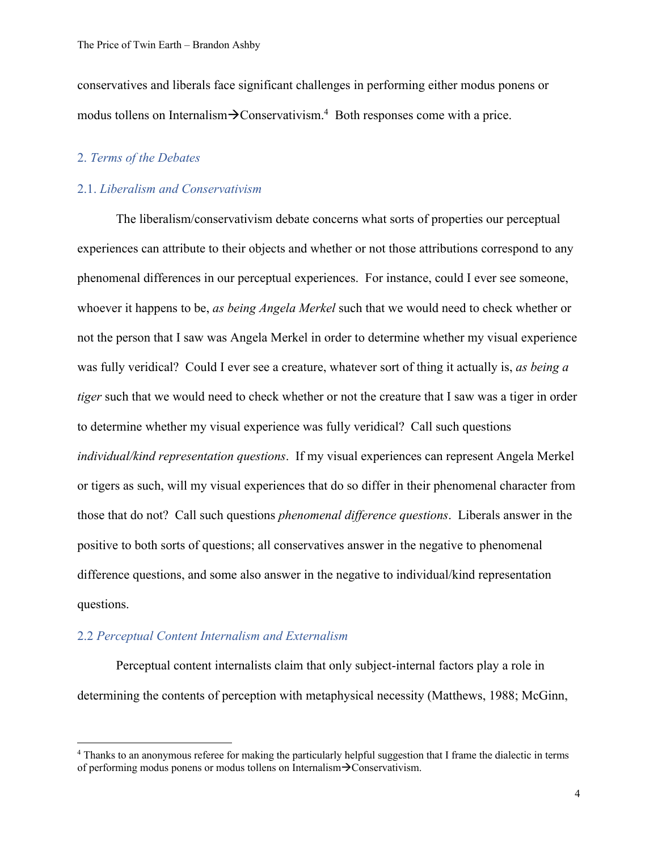conservatives and liberals face significant challenges in performing either modus ponens or modus tollens on Internalism $\rightarrow$ Conservativism.<sup>4</sup> Both responses come with a price.

## 2. *Terms of the Debates*

# 2.1. *Liberalism and Conservativism*

The liberalism/conservativism debate concerns what sorts of properties our perceptual experiences can attribute to their objects and whether or not those attributions correspond to any phenomenal differences in our perceptual experiences. For instance, could I ever see someone, whoever it happens to be, *as being Angela Merkel* such that we would need to check whether or not the person that I saw was Angela Merkel in order to determine whether my visual experience was fully veridical? Could I ever see a creature, whatever sort of thing it actually is, *as being a tiger* such that we would need to check whether or not the creature that I saw was a tiger in order to determine whether my visual experience was fully veridical? Call such questions *individual/kind representation questions*. If my visual experiences can represent Angela Merkel or tigers as such, will my visual experiences that do so differ in their phenomenal character from those that do not? Call such questions *phenomenal difference questions*. Liberals answer in the positive to both sorts of questions; all conservatives answer in the negative to phenomenal difference questions, and some also answer in the negative to individual/kind representation questions.

## 2.2 *Perceptual Content Internalism and Externalism*

Perceptual content internalists claim that only subject-internal factors play a role in determining the contents of perception with metaphysical necessity (Matthews, 1988; McGinn,

<sup>&</sup>lt;sup>4</sup> Thanks to an anonymous referee for making the particularly helpful suggestion that I frame the dialectic in terms of performing modus ponens or modus tollens on Internalism $\rightarrow$ Conservativism.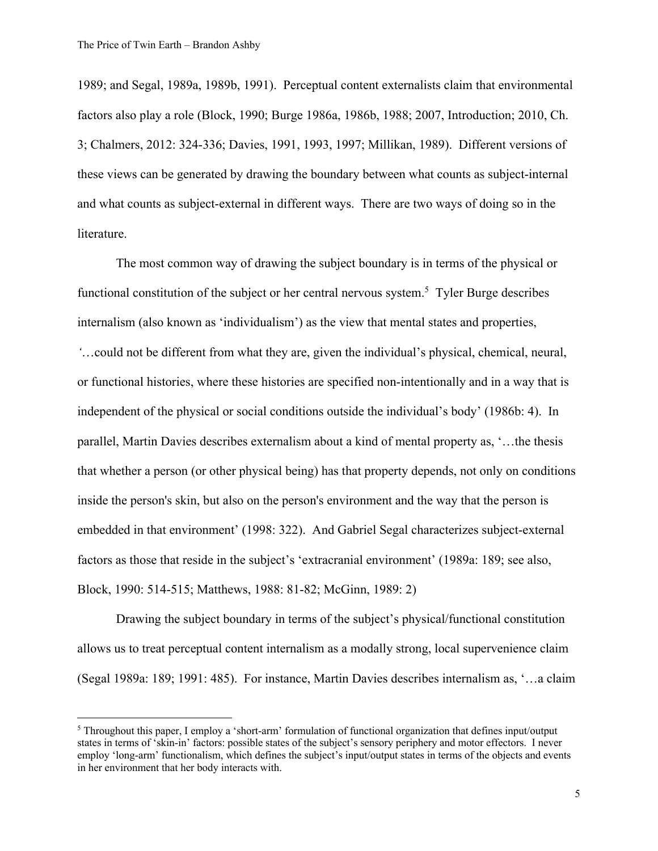1989; and Segal, 1989a, 1989b, 1991). Perceptual content externalists claim that environmental factors also play a role (Block, 1990; Burge 1986a, 1986b, 1988; 2007, Introduction; 2010, Ch. 3; Chalmers, 2012: 324-336; Davies, 1991, 1993, 1997; Millikan, 1989). Different versions of these views can be generated by drawing the boundary between what counts as subject-internal and what counts as subject-external in different ways. There are two ways of doing so in the literature.

The most common way of drawing the subject boundary is in terms of the physical or functional constitution of the subject or her central nervous system.<sup>5</sup> Tyler Burge describes internalism (also known as 'individualism') as the view that mental states and properties, *'*…could not be different from what they are, given the individual's physical, chemical, neural, or functional histories, where these histories are specified non-intentionally and in a way that is independent of the physical or social conditions outside the individual's body' (1986b: 4). In parallel, Martin Davies describes externalism about a kind of mental property as, '…the thesis that whether a person (or other physical being) has that property depends, not only on conditions inside the person's skin, but also on the person's environment and the way that the person is embedded in that environment' (1998: 322). And Gabriel Segal characterizes subject-external factors as those that reside in the subject's 'extracranial environment' (1989a: 189; see also, Block, 1990: 514-515; Matthews, 1988: 81-82; McGinn, 1989: 2)

Drawing the subject boundary in terms of the subject's physical/functional constitution allows us to treat perceptual content internalism as a modally strong, local supervenience claim (Segal 1989a: 189; 1991: 485). For instance, Martin Davies describes internalism as, '…a claim

<sup>5</sup> Throughout this paper, I employ a 'short-arm' formulation of functional organization that defines input/output states in terms of 'skin-in' factors: possible states of the subject's sensory periphery and motor effectors. I never employ 'long-arm' functionalism, which defines the subject's input/output states in terms of the objects and events in her environment that her body interacts with.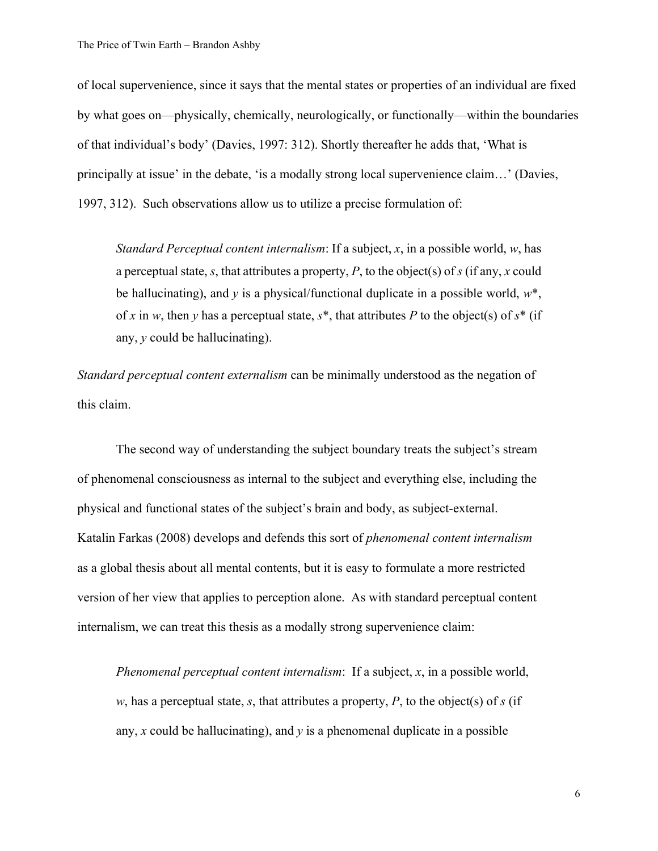of local supervenience, since it says that the mental states or properties of an individual are fixed by what goes on—physically, chemically, neurologically, or functionally—within the boundaries of that individual's body' (Davies, 1997: 312). Shortly thereafter he adds that, 'What is principally at issue' in the debate, 'is a modally strong local supervenience claim…' (Davies, 1997, 312). Such observations allow us to utilize a precise formulation of:

*Standard Perceptual content internalism*: If a subject, *x*, in a possible world, *w*, has a perceptual state, *s*, that attributes a property, *P*, to the object(s) of *s* (if any, *x* could be hallucinating), and  $\gamma$  is a physical/functional duplicate in a possible world,  $w^*$ , of x in w, then y has a perceptual state,  $s^*$ , that attributes P to the object(s) of  $s^*$  (if any, *y* could be hallucinating).

*Standard perceptual content externalism* can be minimally understood as the negation of this claim.

The second way of understanding the subject boundary treats the subject's stream of phenomenal consciousness as internal to the subject and everything else, including the physical and functional states of the subject's brain and body, as subject-external. Katalin Farkas (2008) develops and defends this sort of *phenomenal content internalism* as a global thesis about all mental contents, but it is easy to formulate a more restricted version of her view that applies to perception alone. As with standard perceptual content internalism, we can treat this thesis as a modally strong supervenience claim:

*Phenomenal perceptual content internalism*: If a subject, *x*, in a possible world, *w*, has a perceptual state, *s*, that attributes a property, *P*, to the object(s) of *s* (if any, *x* could be hallucinating), and  $\nu$  is a phenomenal duplicate in a possible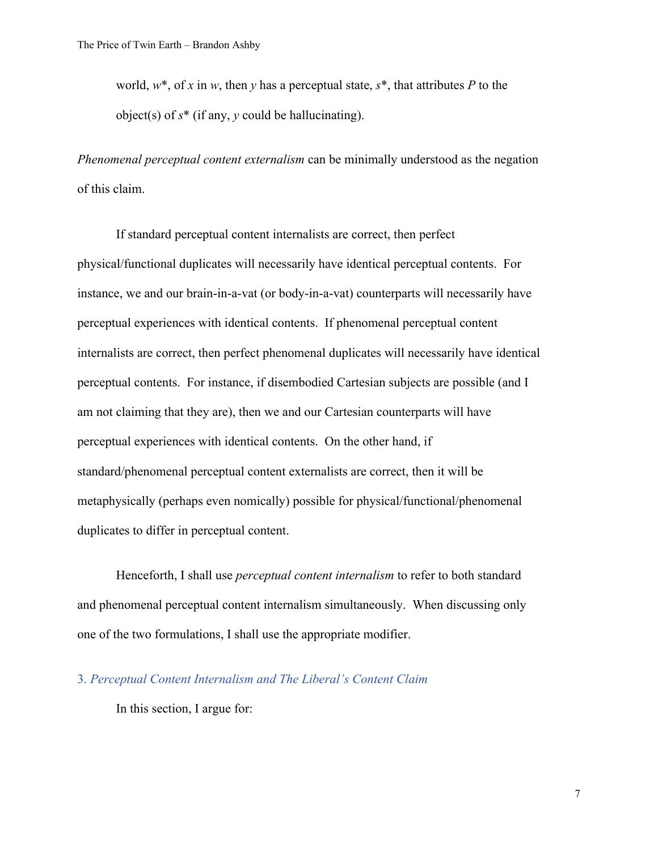world, *w*\*, of *x* in *w*, then *y* has a perceptual state, *s*\*, that attributes *P* to the object(s) of  $s^*$  (if any,  $\gamma$  could be hallucinating).

*Phenomenal perceptual content externalism* can be minimally understood as the negation of this claim.

If standard perceptual content internalists are correct, then perfect physical/functional duplicates will necessarily have identical perceptual contents. For instance, we and our brain-in-a-vat (or body-in-a-vat) counterparts will necessarily have perceptual experiences with identical contents. If phenomenal perceptual content internalists are correct, then perfect phenomenal duplicates will necessarily have identical perceptual contents. For instance, if disembodied Cartesian subjects are possible (and I am not claiming that they are), then we and our Cartesian counterparts will have perceptual experiences with identical contents. On the other hand, if standard/phenomenal perceptual content externalists are correct, then it will be metaphysically (perhaps even nomically) possible for physical/functional/phenomenal duplicates to differ in perceptual content.

Henceforth, I shall use *perceptual content internalism* to refer to both standard and phenomenal perceptual content internalism simultaneously. When discussing only one of the two formulations, I shall use the appropriate modifier.

3. *Perceptual Content Internalism and The Liberal's Content Claim*

In this section, I argue for: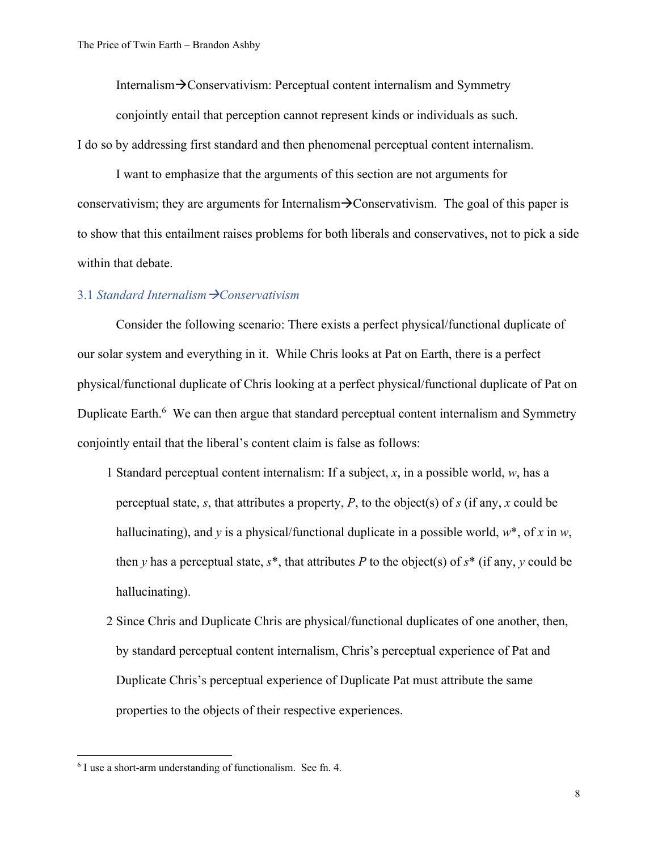Internalism $\rightarrow$ Conservativism: Perceptual content internalism and Symmetry

conjointly entail that perception cannot represent kinds or individuals as such. I do so by addressing first standard and then phenomenal perceptual content internalism.

I want to emphasize that the arguments of this section are not arguments for conservativism; they are arguments for Internalism $\rightarrow$ Conservativism. The goal of this paper is to show that this entailment raises problems for both liberals and conservatives, not to pick a side within that debate.

## 3.1 *Standard Internalism*à*Conservativism*

Consider the following scenario: There exists a perfect physical/functional duplicate of our solar system and everything in it. While Chris looks at Pat on Earth, there is a perfect physical/functional duplicate of Chris looking at a perfect physical/functional duplicate of Pat on Duplicate Earth.<sup>6</sup> We can then argue that standard perceptual content internalism and Symmetry conjointly entail that the liberal's content claim is false as follows:

- 1 Standard perceptual content internalism: If a subject, *x*, in a possible world, *w*, has a perceptual state, *s*, that attributes a property, *P*, to the object(s) of *s* (if any, *x* could be hallucinating), and *y* is a physical/functional duplicate in a possible world, *w*\*, of *x* in *w*, then *y* has a perceptual state,  $s^*$ , that attributes *P* to the object(s) of  $s^*$  (if any, *y* could be hallucinating).
- 2 Since Chris and Duplicate Chris are physical/functional duplicates of one another, then, by standard perceptual content internalism, Chris's perceptual experience of Pat and Duplicate Chris's perceptual experience of Duplicate Pat must attribute the same properties to the objects of their respective experiences.

<sup>6</sup> I use a short-arm understanding of functionalism. See fn. 4.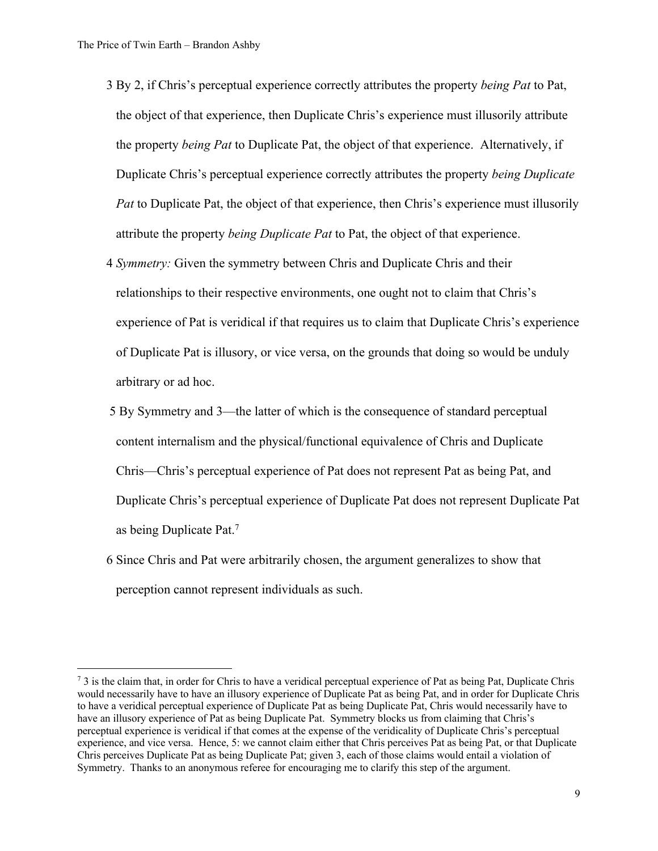- 3 By 2, if Chris's perceptual experience correctly attributes the property *being Pat* to Pat, the object of that experience, then Duplicate Chris's experience must illusorily attribute the property *being Pat* to Duplicate Pat, the object of that experience. Alternatively, if Duplicate Chris's perceptual experience correctly attributes the property *being Duplicate Pat* to Duplicate Pat, the object of that experience, then Chris's experience must illusorily attribute the property *being Duplicate Pat* to Pat, the object of that experience.
- 4 *Symmetry:* Given the symmetry between Chris and Duplicate Chris and their relationships to their respective environments, one ought not to claim that Chris's experience of Pat is veridical if that requires us to claim that Duplicate Chris's experience of Duplicate Pat is illusory, or vice versa, on the grounds that doing so would be unduly arbitrary or ad hoc.
- 5 By Symmetry and 3—the latter of which is the consequence of standard perceptual content internalism and the physical/functional equivalence of Chris and Duplicate Chris—Chris's perceptual experience of Pat does not represent Pat as being Pat, and Duplicate Chris's perceptual experience of Duplicate Pat does not represent Duplicate Pat as being Duplicate Pat.<sup>7</sup>
- 6 Since Chris and Pat were arbitrarily chosen, the argument generalizes to show that perception cannot represent individuals as such.

 $^7$  3 is the claim that, in order for Chris to have a veridical perceptual experience of Pat as being Pat, Duplicate Chris would necessarily have to have an illusory experience of Duplicate Pat as being Pat, and in order for Duplicate Chris to have a veridical perceptual experience of Duplicate Pat as being Duplicate Pat, Chris would necessarily have to have an illusory experience of Pat as being Duplicate Pat. Symmetry blocks us from claiming that Chris's perceptual experience is veridical if that comes at the expense of the veridicality of Duplicate Chris's perceptual experience, and vice versa. Hence, 5: we cannot claim either that Chris perceives Pat as being Pat, or that Duplicate Chris perceives Duplicate Pat as being Duplicate Pat; given 3, each of those claims would entail a violation of Symmetry. Thanks to an anonymous referee for encouraging me to clarify this step of the argument.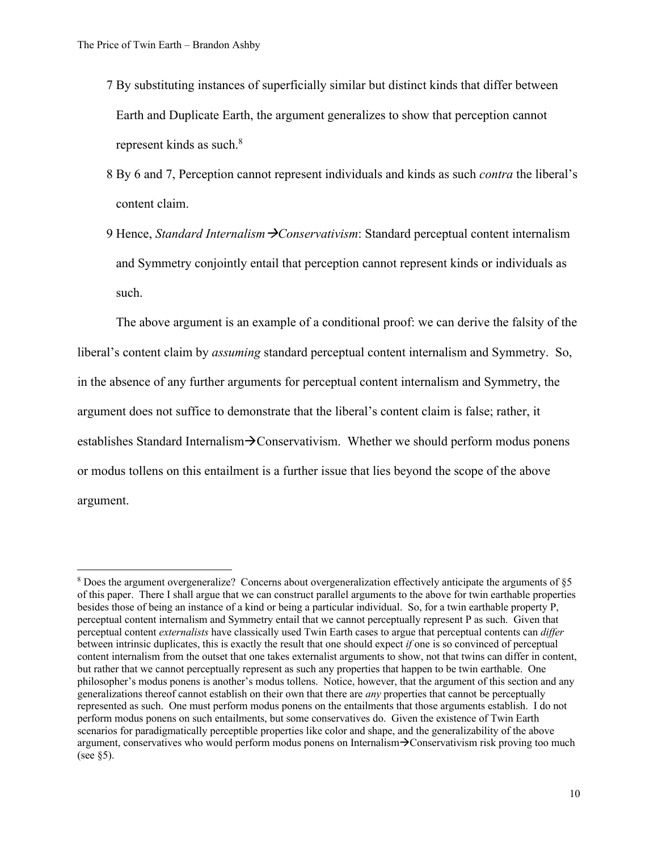- 7 By substituting instances of superficially similar but distinct kinds that differ between Earth and Duplicate Earth, the argument generalizes to show that perception cannot represent kinds as such.<sup>8</sup>
- 8 By 6 and 7, Perception cannot represent individuals and kinds as such *contra* the liberal's content claim.
- 9 Hence, *Standard Internalism*  $\rightarrow$  Conservativism: Standard perceptual content internalism and Symmetry conjointly entail that perception cannot represent kinds or individuals as such.

The above argument is an example of a conditional proof: we can derive the falsity of the liberal's content claim by *assuming* standard perceptual content internalism and Symmetry. So, in the absence of any further arguments for perceptual content internalism and Symmetry, the argument does not suffice to demonstrate that the liberal's content claim is false; rather, it establishes Standard Internalism $\rightarrow$ Conservativism. Whether we should perform modus ponens or modus tollens on this entailment is a further issue that lies beyond the scope of the above argument.

<sup>8</sup> Does the argument overgeneralize? Concerns about overgeneralization effectively anticipate the arguments of §5 of this paper. There I shall argue that we can construct parallel arguments to the above for twin earthable properties besides those of being an instance of a kind or being a particular individual. So, for a twin earthable property P, perceptual content internalism and Symmetry entail that we cannot perceptually represent P as such. Given that perceptual content *externalists* have classically used Twin Earth cases to argue that perceptual contents can *differ* between intrinsic duplicates, this is exactly the result that one should expect *if* one is so convinced of perceptual content internalism from the outset that one takes externalist arguments to show, not that twins can differ in content, but rather that we cannot perceptually represent as such any properties that happen to be twin earthable. One philosopher's modus ponens is another's modus tollens. Notice, however, that the argument of this section and any generalizations thereof cannot establish on their own that there are *any* properties that cannot be perceptually represented as such. One must perform modus ponens on the entailments that those arguments establish. I do not perform modus ponens on such entailments, but some conservatives do. Given the existence of Twin Earth scenarios for paradigmatically perceptible properties like color and shape, and the generalizability of the above argument, conservatives who would perform modus ponens on Internalism $\rightarrow$ Conservativism risk proving too much (see §5).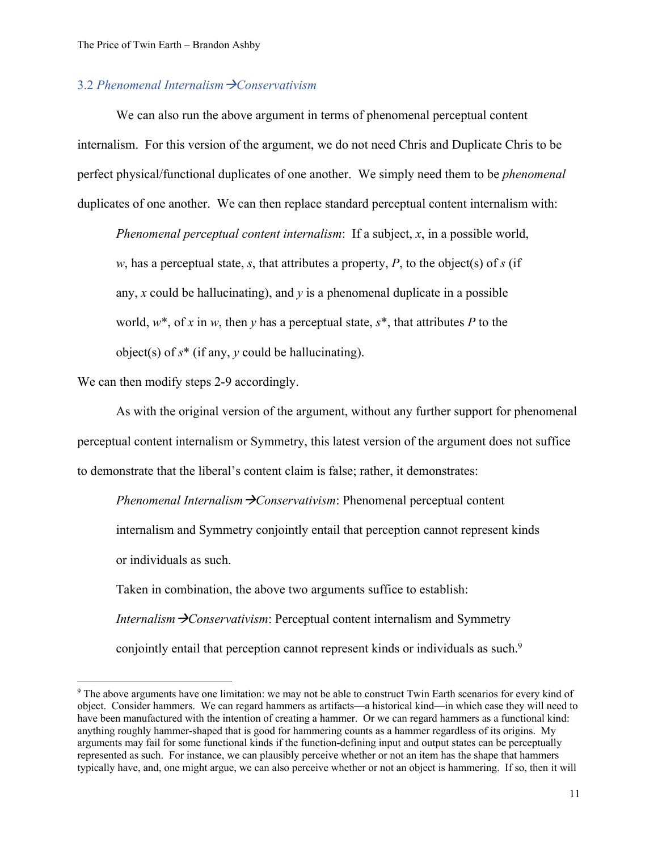## 3.2 *Phenomenal Internalism*à*Conservativism*

We can also run the above argument in terms of phenomenal perceptual content internalism. For this version of the argument, we do not need Chris and Duplicate Chris to be perfect physical/functional duplicates of one another. We simply need them to be *phenomenal*  duplicates of one another. We can then replace standard perceptual content internalism with:

*Phenomenal perceptual content internalism*: If a subject, *x*, in a possible world, *w*, has a perceptual state, *s*, that attributes a property, *P*, to the object(s) of *s* (if any, *x* could be hallucinating), and *y* is a phenomenal duplicate in a possible world, *w*\*, of *x* in *w*, then *y* has a perceptual state, *s*\*, that attributes *P* to the object(s) of *s*\* (if any, *y* could be hallucinating).

We can then modify steps 2-9 accordingly.

As with the original version of the argument, without any further support for phenomenal perceptual content internalism or Symmetry, this latest version of the argument does not suffice to demonstrate that the liberal's content claim is false; rather, it demonstrates:

*Phenomenal Internalism*à*Conservativism*: Phenomenal perceptual content internalism and Symmetry conjointly entail that perception cannot represent kinds or individuals as such.

Taken in combination, the above two arguments suffice to establish: *Internalism*  $\rightarrow$ *Conservativism*: Perceptual content internalism and Symmetry conjointly entail that perception cannot represent kinds or individuals as such. 9

<sup>9</sup> The above arguments have one limitation: we may not be able to construct Twin Earth scenarios for every kind of object. Consider hammers. We can regard hammers as artifacts—a historical kind—in which case they will need to have been manufactured with the intention of creating a hammer. Or we can regard hammers as a functional kind: anything roughly hammer-shaped that is good for hammering counts as a hammer regardless of its origins. My arguments may fail for some functional kinds if the function-defining input and output states can be perceptually represented as such. For instance, we can plausibly perceive whether or not an item has the shape that hammers typically have, and, one might argue, we can also perceive whether or not an object is hammering. If so, then it will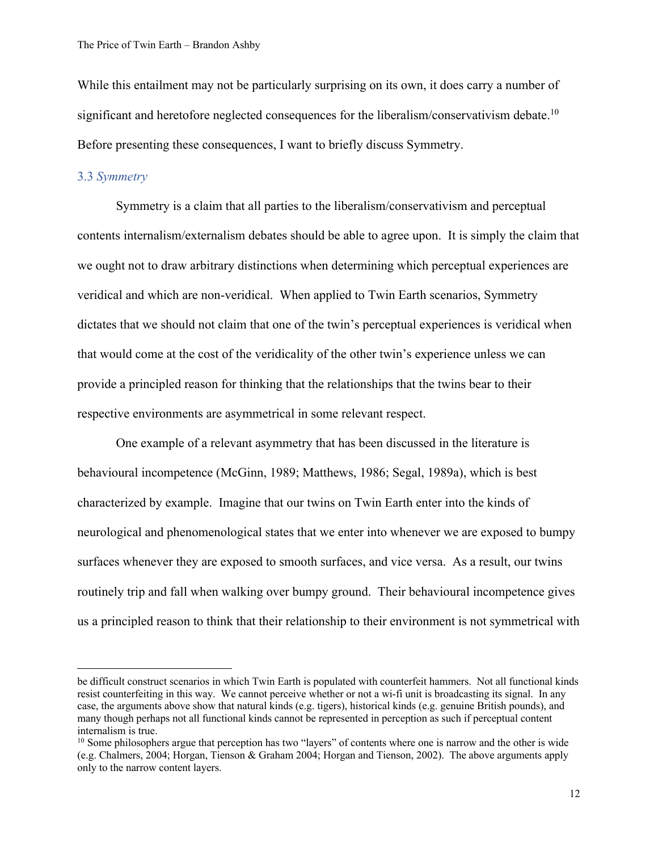While this entailment may not be particularly surprising on its own, it does carry a number of significant and heretofore neglected consequences for the liberalism/conservativism debate.<sup>10</sup> Before presenting these consequences, I want to briefly discuss Symmetry.

#### 3.3 *Symmetry*

Symmetry is a claim that all parties to the liberalism/conservativism and perceptual contents internalism/externalism debates should be able to agree upon. It is simply the claim that we ought not to draw arbitrary distinctions when determining which perceptual experiences are veridical and which are non-veridical. When applied to Twin Earth scenarios, Symmetry dictates that we should not claim that one of the twin's perceptual experiences is veridical when that would come at the cost of the veridicality of the other twin's experience unless we can provide a principled reason for thinking that the relationships that the twins bear to their respective environments are asymmetrical in some relevant respect.

One example of a relevant asymmetry that has been discussed in the literature is behavioural incompetence (McGinn, 1989; Matthews, 1986; Segal, 1989a), which is best characterized by example. Imagine that our twins on Twin Earth enter into the kinds of neurological and phenomenological states that we enter into whenever we are exposed to bumpy surfaces whenever they are exposed to smooth surfaces, and vice versa. As a result, our twins routinely trip and fall when walking over bumpy ground. Their behavioural incompetence gives us a principled reason to think that their relationship to their environment is not symmetrical with

be difficult construct scenarios in which Twin Earth is populated with counterfeit hammers. Not all functional kinds resist counterfeiting in this way. We cannot perceive whether or not a wi-fi unit is broadcasting its signal. In any case, the arguments above show that natural kinds (e.g. tigers), historical kinds (e.g. genuine British pounds), and many though perhaps not all functional kinds cannot be represented in perception as such if perceptual content internalism is true.

 $10$  Some philosophers argue that perception has two "layers" of contents where one is narrow and the other is wide (e.g. Chalmers, 2004; Horgan, Tienson & Graham 2004; Horgan and Tienson, 2002). The above arguments apply only to the narrow content layers.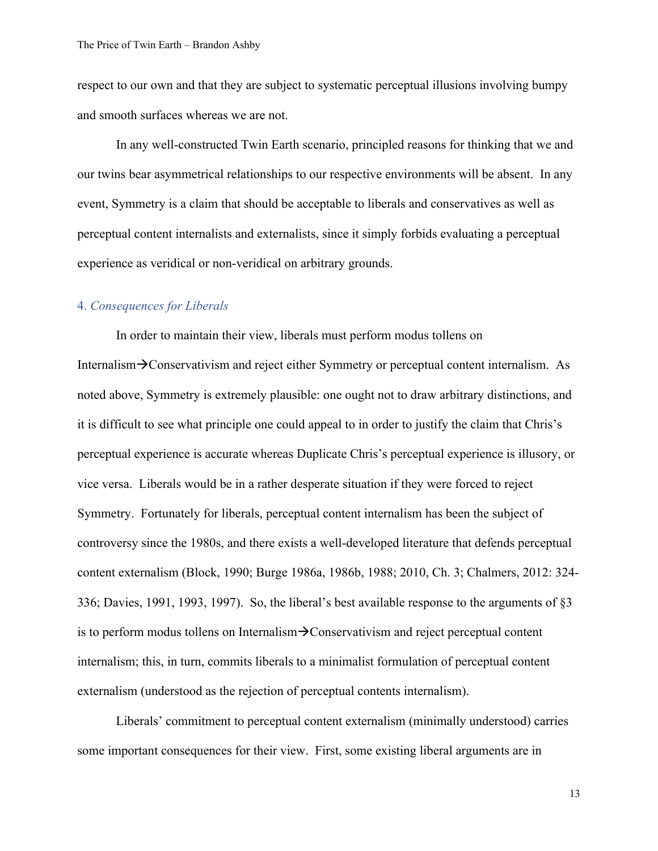respect to our own and that they are subject to systematic perceptual illusions involving bumpy and smooth surfaces whereas we are not.

In any well-constructed Twin Earth scenario, principled reasons for thinking that we and our twins bear asymmetrical relationships to our respective environments will be absent. In any event, Symmetry is a claim that should be acceptable to liberals and conservatives as well as perceptual content internalists and externalists, since it simply forbids evaluating a perceptual experience as veridical or non-veridical on arbitrary grounds.

#### 4. *Consequences for Liberals*

In order to maintain their view, liberals must perform modus tollens on Internalism $\rightarrow$ Conservativism and reject either Symmetry or perceptual content internalism. As noted above, Symmetry is extremely plausible: one ought not to draw arbitrary distinctions, and it is difficult to see what principle one could appeal to in order to justify the claim that Chris's perceptual experience is accurate whereas Duplicate Chris's perceptual experience is illusory, or vice versa. Liberals would be in a rather desperate situation if they were forced to reject Symmetry. Fortunately for liberals, perceptual content internalism has been the subject of controversy since the 1980s, and there exists a well-developed literature that defends perceptual content externalism (Block, 1990; Burge 1986a, 1986b, 1988; 2010, Ch. 3; Chalmers, 2012: 324- 336; Davies, 1991, 1993, 1997). So, the liberal's best available response to the arguments of §3 is to perform modus tollens on Internalism $\rightarrow$ Conservativism and reject perceptual content internalism; this, in turn, commits liberals to a minimalist formulation of perceptual content externalism (understood as the rejection of perceptual contents internalism).

Liberals' commitment to perceptual content externalism (minimally understood) carries some important consequences for their view. First, some existing liberal arguments are in

13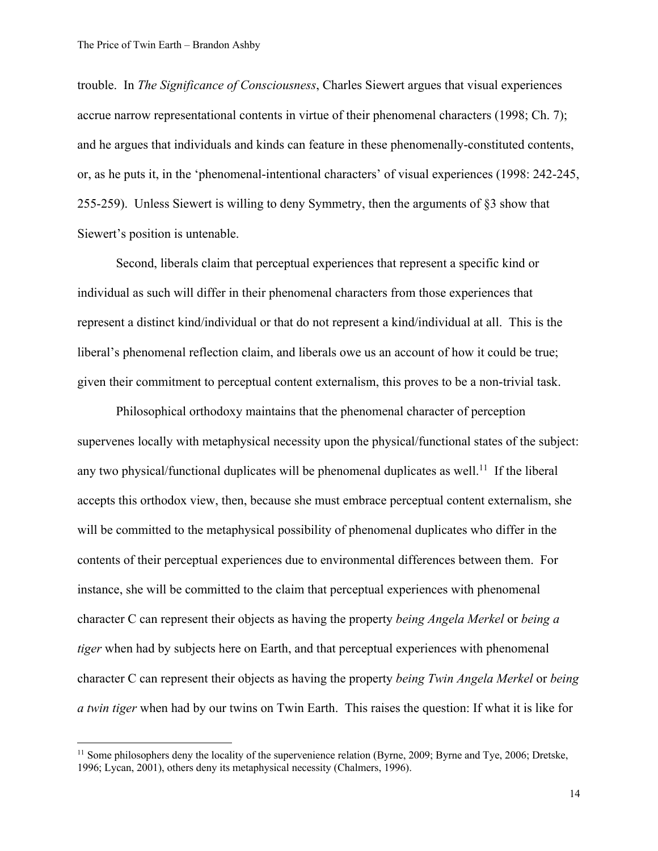trouble. In *The Significance of Consciousness*, Charles Siewert argues that visual experiences accrue narrow representational contents in virtue of their phenomenal characters (1998; Ch. 7); and he argues that individuals and kinds can feature in these phenomenally-constituted contents, or, as he puts it, in the 'phenomenal-intentional characters' of visual experiences (1998: 242-245, 255-259). Unless Siewert is willing to deny Symmetry, then the arguments of §3 show that Siewert's position is untenable.

Second, liberals claim that perceptual experiences that represent a specific kind or individual as such will differ in their phenomenal characters from those experiences that represent a distinct kind/individual or that do not represent a kind/individual at all. This is the liberal's phenomenal reflection claim, and liberals owe us an account of how it could be true; given their commitment to perceptual content externalism, this proves to be a non-trivial task.

Philosophical orthodoxy maintains that the phenomenal character of perception supervenes locally with metaphysical necessity upon the physical/functional states of the subject: any two physical/functional duplicates will be phenomenal duplicates as well.<sup>11</sup> If the liberal accepts this orthodox view, then, because she must embrace perceptual content externalism, she will be committed to the metaphysical possibility of phenomenal duplicates who differ in the contents of their perceptual experiences due to environmental differences between them. For instance, she will be committed to the claim that perceptual experiences with phenomenal character C can represent their objects as having the property *being Angela Merkel* or *being a tiger* when had by subjects here on Earth, and that perceptual experiences with phenomenal character C can represent their objects as having the property *being Twin Angela Merkel* or *being a twin tiger* when had by our twins on Twin Earth. This raises the question: If what it is like for

 $11$  Some philosophers deny the locality of the supervenience relation (Byrne, 2009; Byrne and Tye, 2006; Dretske, 1996; Lycan, 2001), others deny its metaphysical necessity (Chalmers, 1996).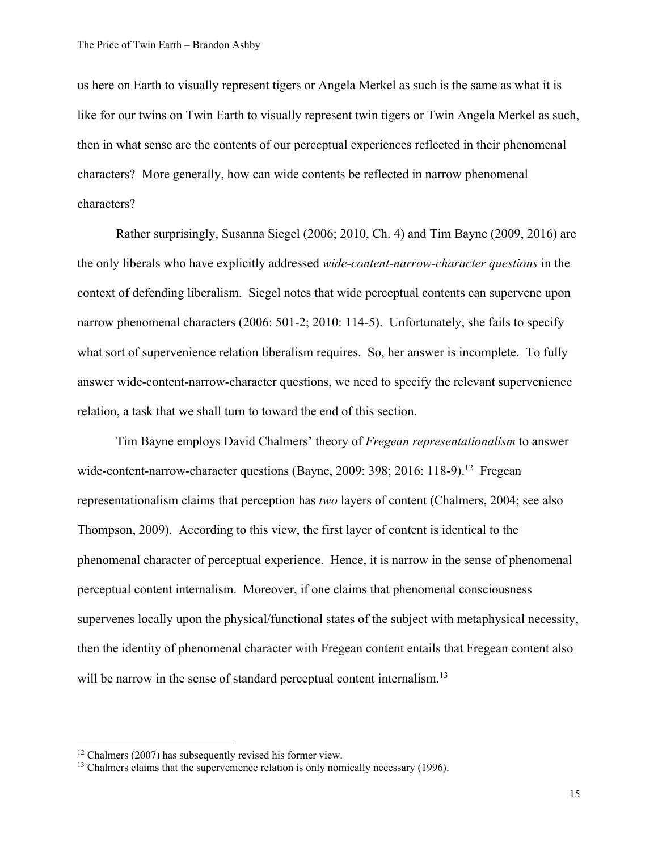us here on Earth to visually represent tigers or Angela Merkel as such is the same as what it is like for our twins on Twin Earth to visually represent twin tigers or Twin Angela Merkel as such, then in what sense are the contents of our perceptual experiences reflected in their phenomenal characters? More generally, how can wide contents be reflected in narrow phenomenal characters?

Rather surprisingly, Susanna Siegel (2006; 2010, Ch. 4) and Tim Bayne (2009, 2016) are the only liberals who have explicitly addressed *wide-content-narrow-character questions* in the context of defending liberalism. Siegel notes that wide perceptual contents can supervene upon narrow phenomenal characters (2006: 501-2; 2010: 114-5). Unfortunately, she fails to specify what sort of supervenience relation liberalism requires. So, her answer is incomplete. To fully answer wide-content-narrow-character questions, we need to specify the relevant supervenience relation, a task that we shall turn to toward the end of this section.

Tim Bayne employs David Chalmers' theory of *Fregean representationalism* to answer wide-content-narrow-character questions (Bayne, 2009: 398; 2016: 118-9).<sup>12</sup> Fregean representationalism claims that perception has *two* layers of content (Chalmers, 2004; see also Thompson, 2009). According to this view, the first layer of content is identical to the phenomenal character of perceptual experience. Hence, it is narrow in the sense of phenomenal perceptual content internalism. Moreover, if one claims that phenomenal consciousness supervenes locally upon the physical/functional states of the subject with metaphysical necessity, then the identity of phenomenal character with Fregean content entails that Fregean content also will be narrow in the sense of standard perceptual content internalism.<sup>13</sup>

<sup>&</sup>lt;sup>12</sup> Chalmers (2007) has subsequently revised his former view.<br><sup>13</sup> Chalmers claims that the supervenience relation is only nomically necessary (1996).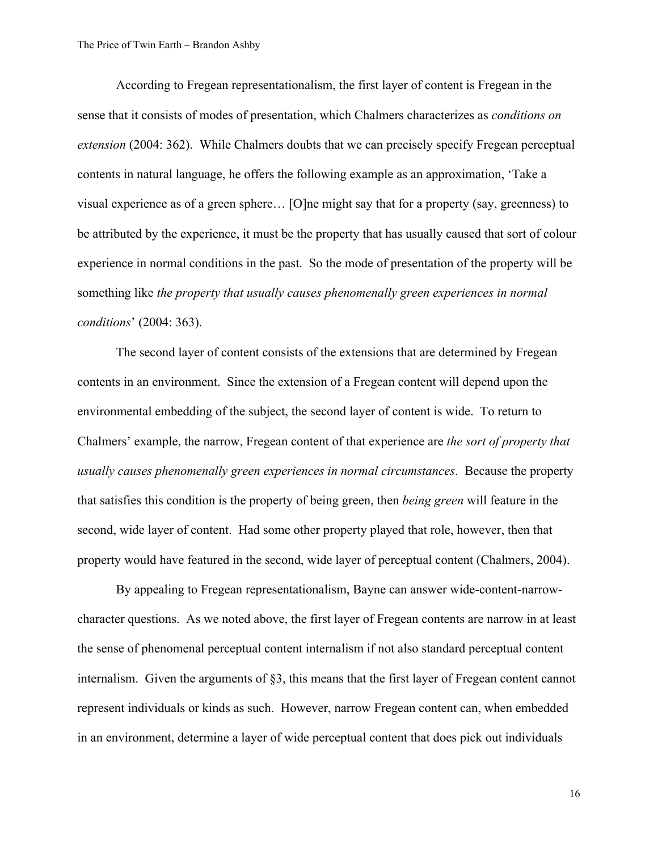According to Fregean representationalism, the first layer of content is Fregean in the sense that it consists of modes of presentation, which Chalmers characterizes as *conditions on extension* (2004: 362). While Chalmers doubts that we can precisely specify Fregean perceptual contents in natural language, he offers the following example as an approximation, 'Take a visual experience as of a green sphere… [O]ne might say that for a property (say, greenness) to be attributed by the experience, it must be the property that has usually caused that sort of colour experience in normal conditions in the past. So the mode of presentation of the property will be something like *the property that usually causes phenomenally green experiences in normal conditions*' (2004: 363).

The second layer of content consists of the extensions that are determined by Fregean contents in an environment. Since the extension of a Fregean content will depend upon the environmental embedding of the subject, the second layer of content is wide. To return to Chalmers' example, the narrow, Fregean content of that experience are *the sort of property that usually causes phenomenally green experiences in normal circumstances*. Because the property that satisfies this condition is the property of being green, then *being green* will feature in the second, wide layer of content. Had some other property played that role, however, then that property would have featured in the second, wide layer of perceptual content (Chalmers, 2004).

By appealing to Fregean representationalism, Bayne can answer wide-content-narrowcharacter questions. As we noted above, the first layer of Fregean contents are narrow in at least the sense of phenomenal perceptual content internalism if not also standard perceptual content internalism. Given the arguments of §3, this means that the first layer of Fregean content cannot represent individuals or kinds as such. However, narrow Fregean content can, when embedded in an environment, determine a layer of wide perceptual content that does pick out individuals

16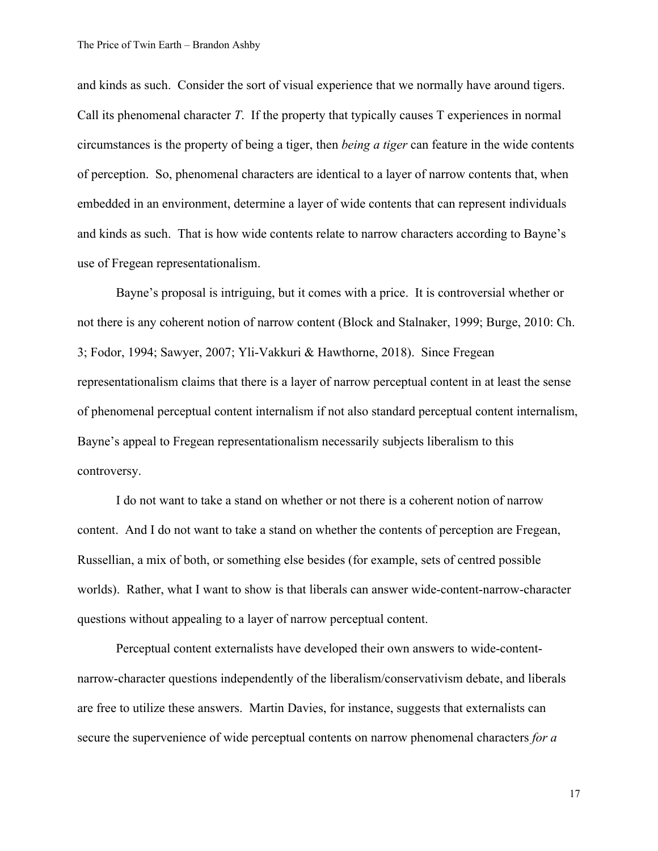and kinds as such. Consider the sort of visual experience that we normally have around tigers. Call its phenomenal character *T*. If the property that typically causes T experiences in normal circumstances is the property of being a tiger, then *being a tiger* can feature in the wide contents of perception. So, phenomenal characters are identical to a layer of narrow contents that, when embedded in an environment, determine a layer of wide contents that can represent individuals and kinds as such. That is how wide contents relate to narrow characters according to Bayne's use of Fregean representationalism.

Bayne's proposal is intriguing, but it comes with a price. It is controversial whether or not there is any coherent notion of narrow content (Block and Stalnaker, 1999; Burge, 2010: Ch. 3; Fodor, 1994; Sawyer, 2007; Yli-Vakkuri & Hawthorne, 2018). Since Fregean representationalism claims that there is a layer of narrow perceptual content in at least the sense of phenomenal perceptual content internalism if not also standard perceptual content internalism, Bayne's appeal to Fregean representationalism necessarily subjects liberalism to this controversy.

I do not want to take a stand on whether or not there is a coherent notion of narrow content. And I do not want to take a stand on whether the contents of perception are Fregean, Russellian, a mix of both, or something else besides (for example, sets of centred possible worlds). Rather, what I want to show is that liberals can answer wide-content-narrow-character questions without appealing to a layer of narrow perceptual content.

Perceptual content externalists have developed their own answers to wide-contentnarrow-character questions independently of the liberalism/conservativism debate, and liberals are free to utilize these answers. Martin Davies, for instance, suggests that externalists can secure the supervenience of wide perceptual contents on narrow phenomenal characters *for a* 

17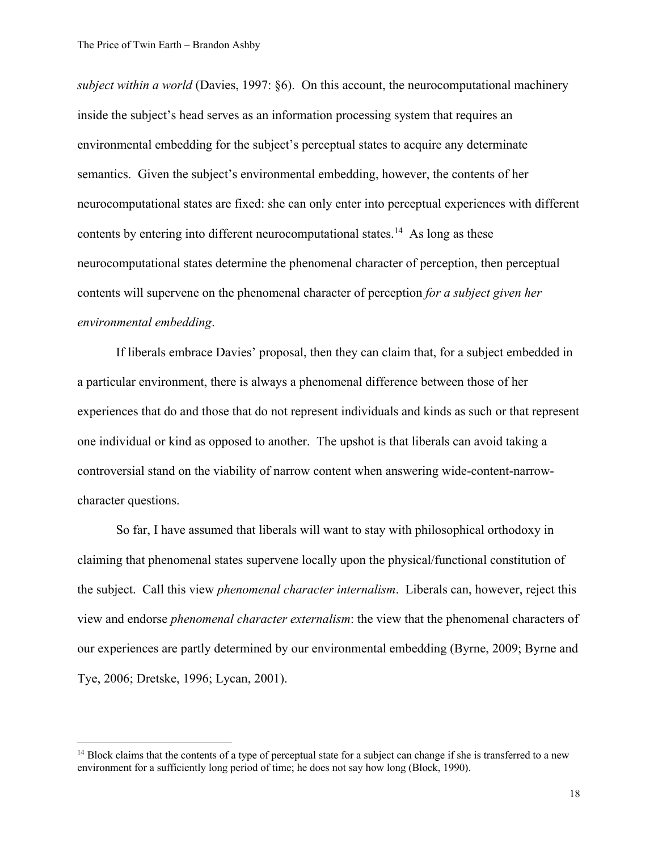*subject within a world* (Davies, 1997: §6). On this account, the neurocomputational machinery inside the subject's head serves as an information processing system that requires an environmental embedding for the subject's perceptual states to acquire any determinate semantics. Given the subject's environmental embedding, however, the contents of her neurocomputational states are fixed: she can only enter into perceptual experiences with different contents by entering into different neurocomputational states.<sup>14</sup> As long as these neurocomputational states determine the phenomenal character of perception, then perceptual contents will supervene on the phenomenal character of perception *for a subject given her environmental embedding*.

If liberals embrace Davies' proposal, then they can claim that, for a subject embedded in a particular environment, there is always a phenomenal difference between those of her experiences that do and those that do not represent individuals and kinds as such or that represent one individual or kind as opposed to another. The upshot is that liberals can avoid taking a controversial stand on the viability of narrow content when answering wide-content-narrowcharacter questions.

So far, I have assumed that liberals will want to stay with philosophical orthodoxy in claiming that phenomenal states supervene locally upon the physical/functional constitution of the subject. Call this view *phenomenal character internalism*. Liberals can, however, reject this view and endorse *phenomenal character externalism*: the view that the phenomenal characters of our experiences are partly determined by our environmental embedding (Byrne, 2009; Byrne and Tye, 2006; Dretske, 1996; Lycan, 2001).

<sup>&</sup>lt;sup>14</sup> Block claims that the contents of a type of perceptual state for a subject can change if she is transferred to a new environment for a sufficiently long period of time; he does not say how long (Block, 1990).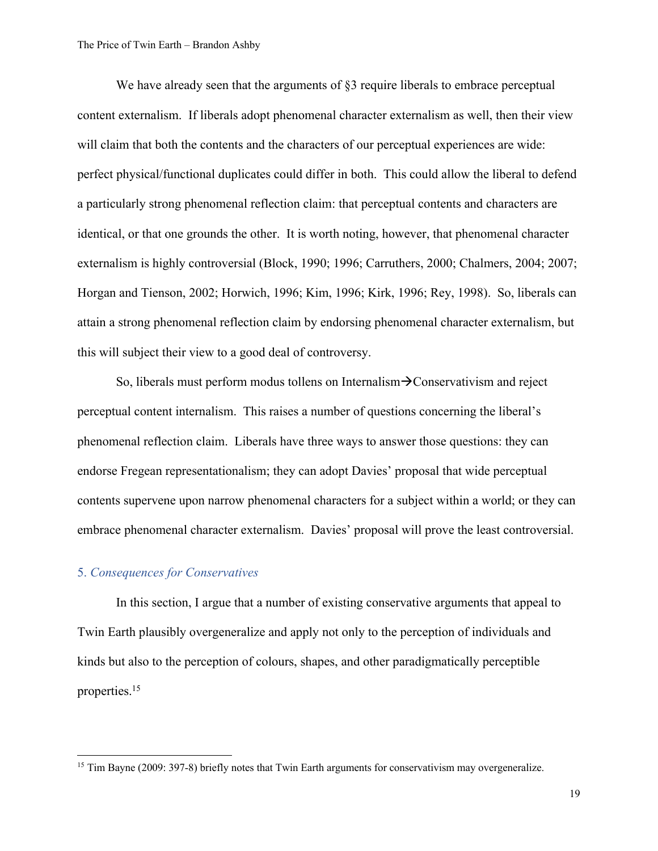We have already seen that the arguments of  $\S$ 3 require liberals to embrace perceptual content externalism. If liberals adopt phenomenal character externalism as well, then their view will claim that both the contents and the characters of our perceptual experiences are wide: perfect physical/functional duplicates could differ in both. This could allow the liberal to defend a particularly strong phenomenal reflection claim: that perceptual contents and characters are identical, or that one grounds the other. It is worth noting, however, that phenomenal character externalism is highly controversial (Block, 1990; 1996; Carruthers, 2000; Chalmers, 2004; 2007; Horgan and Tienson, 2002; Horwich, 1996; Kim, 1996; Kirk, 1996; Rey, 1998). So, liberals can attain a strong phenomenal reflection claim by endorsing phenomenal character externalism, but this will subject their view to a good deal of controversy.

So, liberals must perform modus tollens on Internalism $\rightarrow$ Conservativism and reject perceptual content internalism. This raises a number of questions concerning the liberal's phenomenal reflection claim. Liberals have three ways to answer those questions: they can endorse Fregean representationalism; they can adopt Davies' proposal that wide perceptual contents supervene upon narrow phenomenal characters for a subject within a world; or they can embrace phenomenal character externalism. Davies' proposal will prove the least controversial.

#### 5. *Consequences for Conservatives*

In this section, I argue that a number of existing conservative arguments that appeal to Twin Earth plausibly overgeneralize and apply not only to the perception of individuals and kinds but also to the perception of colours, shapes, and other paradigmatically perceptible properties. 15

<sup>&</sup>lt;sup>15</sup> Tim Bayne (2009: 397-8) briefly notes that Twin Earth arguments for conservativism may overgeneralize.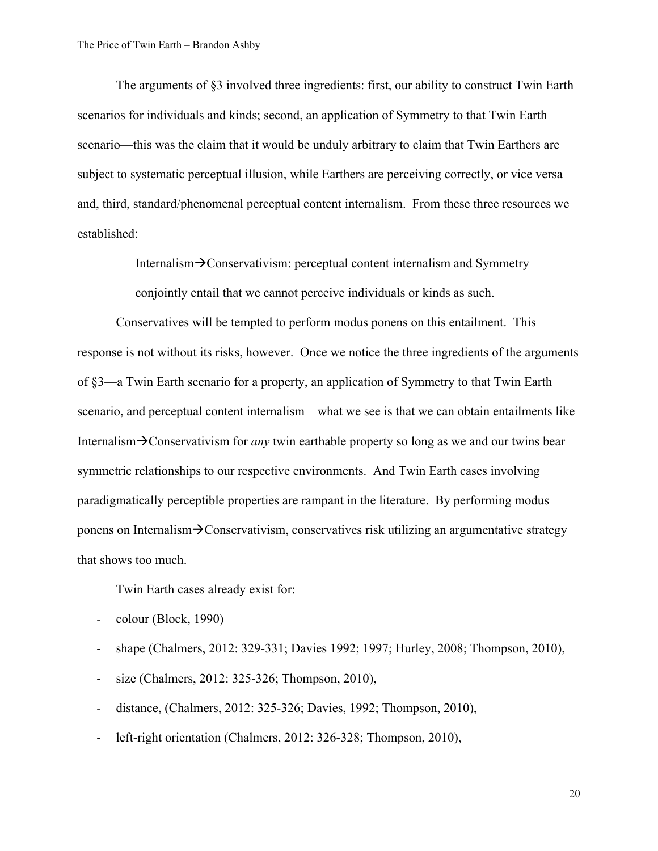The arguments of §3 involved three ingredients: first, our ability to construct Twin Earth scenarios for individuals and kinds; second, an application of Symmetry to that Twin Earth scenario—this was the claim that it would be unduly arbitrary to claim that Twin Earthers are subject to systematic perceptual illusion, while Earthers are perceiving correctly, or vice versa and, third, standard/phenomenal perceptual content internalism. From these three resources we established:

> Internalism $\rightarrow$ Conservativism: perceptual content internalism and Symmetry conjointly entail that we cannot perceive individuals or kinds as such.

Conservatives will be tempted to perform modus ponens on this entailment. This response is not without its risks, however. Once we notice the three ingredients of the arguments of §3—a Twin Earth scenario for a property, an application of Symmetry to that Twin Earth scenario, and perceptual content internalism—what we see is that we can obtain entailments like Internalism $\rightarrow$ Conservativism for *any* twin earthable property so long as we and our twins bear symmetric relationships to our respective environments. And Twin Earth cases involving paradigmatically perceptible properties are rampant in the literature. By performing modus ponens on Internalism $\rightarrow$ Conservativism, conservatives risk utilizing an argumentative strategy that shows too much.

Twin Earth cases already exist for:

- colour (Block, 1990)
- shape (Chalmers, 2012: 329-331; Davies 1992; 1997; Hurley, 2008; Thompson, 2010),
- size (Chalmers, 2012: 325-326; Thompson, 2010),
- distance, (Chalmers, 2012: 325-326; Davies, 1992; Thompson, 2010),
- left-right orientation (Chalmers, 2012: 326-328; Thompson, 2010),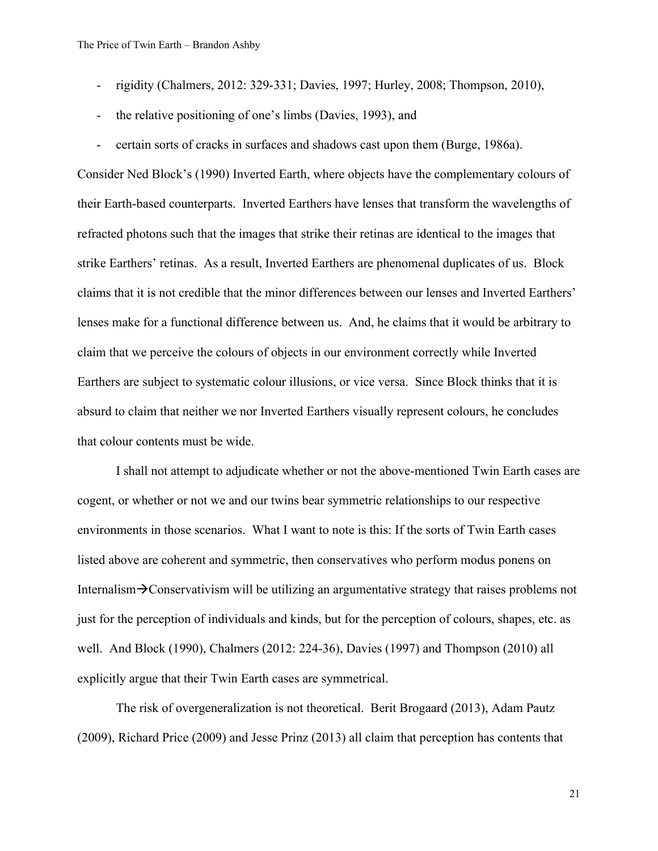- rigidity (Chalmers, 2012: 329-331; Davies, 1997; Hurley, 2008; Thompson, 2010),
- the relative positioning of one's limbs (Davies, 1993), and
- certain sorts of cracks in surfaces and shadows cast upon them (Burge, 1986a).

Consider Ned Block's (1990) Inverted Earth, where objects have the complementary colours of their Earth-based counterparts. Inverted Earthers have lenses that transform the wavelengths of refracted photons such that the images that strike their retinas are identical to the images that strike Earthers' retinas. As a result, Inverted Earthers are phenomenal duplicates of us. Block claims that it is not credible that the minor differences between our lenses and Inverted Earthers' lenses make for a functional difference between us. And, he claims that it would be arbitrary to claim that we perceive the colours of objects in our environment correctly while Inverted Earthers are subject to systematic colour illusions, or vice versa. Since Block thinks that it is absurd to claim that neither we nor Inverted Earthers visually represent colours, he concludes that colour contents must be wide.

I shall not attempt to adjudicate whether or not the above-mentioned Twin Earth cases are cogent, or whether or not we and our twins bear symmetric relationships to our respective environments in those scenarios. What I want to note is this: If the sorts of Twin Earth cases listed above are coherent and symmetric, then conservatives who perform modus ponens on Internalism $\rightarrow$ Conservativism will be utilizing an argumentative strategy that raises problems not just for the perception of individuals and kinds, but for the perception of colours, shapes, etc. as well. And Block (1990), Chalmers (2012: 224-36), Davies (1997) and Thompson (2010) all explicitly argue that their Twin Earth cases are symmetrical.

The risk of overgeneralization is not theoretical. Berit Brogaard (2013), Adam Pautz (2009), Richard Price (2009) and Jesse Prinz (2013) all claim that perception has contents that

21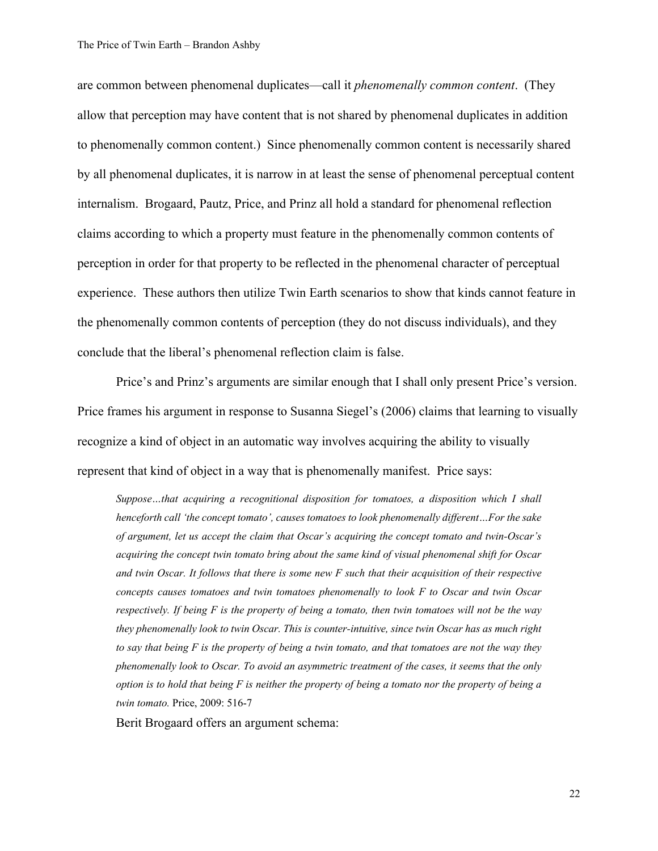are common between phenomenal duplicates—call it *phenomenally common content*. (They allow that perception may have content that is not shared by phenomenal duplicates in addition to phenomenally common content.) Since phenomenally common content is necessarily shared by all phenomenal duplicates, it is narrow in at least the sense of phenomenal perceptual content internalism. Brogaard, Pautz, Price, and Prinz all hold a standard for phenomenal reflection claims according to which a property must feature in the phenomenally common contents of perception in order for that property to be reflected in the phenomenal character of perceptual experience. These authors then utilize Twin Earth scenarios to show that kinds cannot feature in the phenomenally common contents of perception (they do not discuss individuals), and they conclude that the liberal's phenomenal reflection claim is false.

Price's and Prinz's arguments are similar enough that I shall only present Price's version. Price frames his argument in response to Susanna Siegel's (2006) claims that learning to visually recognize a kind of object in an automatic way involves acquiring the ability to visually represent that kind of object in a way that is phenomenally manifest. Price says:

*Suppose…that acquiring a recognitional disposition for tomatoes, a disposition which I shall henceforth call 'the concept tomato', causes tomatoes to look phenomenally different…For the sake of argument, let us accept the claim that Oscar's acquiring the concept tomato and twin-Oscar's acquiring the concept twin tomato bring about the same kind of visual phenomenal shift for Oscar and twin Oscar. It follows that there is some new F such that their acquisition of their respective concepts causes tomatoes and twin tomatoes phenomenally to look F to Oscar and twin Oscar respectively. If being F is the property of being a tomato, then twin tomatoes will not be the way they phenomenally look to twin Oscar. This is counter-intuitive, since twin Oscar has as much right to say that being F is the property of being a twin tomato, and that tomatoes are not the way they phenomenally look to Oscar. To avoid an asymmetric treatment of the cases, it seems that the only option is to hold that being F is neither the property of being a tomato nor the property of being a twin tomato.* Price, 2009: 516-7

Berit Brogaard offers an argument schema: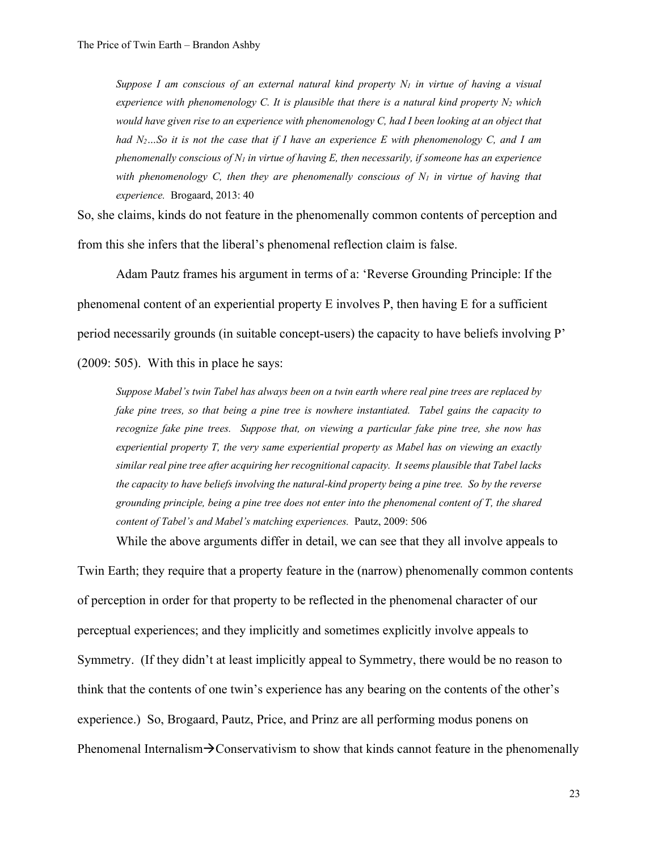*Suppose I am conscious of an external natural kind property N<sub>1</sub> in virtue of having a visual experience with phenomenology C. It is plausible that there is a natural kind property N2 which*  would have given rise to an experience with phenomenology C, had I been looking at an object that *had N2…So it is not the case that if I have an experience E with phenomenology C, and I am phenomenally conscious of N1 in virtue of having E, then necessarily, if someone has an experience with phenomenology C, then they are phenomenally conscious of*  $N_1$  *in virtue of having that experience.* Brogaard, 2013: 40

So, she claims, kinds do not feature in the phenomenally common contents of perception and from this she infers that the liberal's phenomenal reflection claim is false.

Adam Pautz frames his argument in terms of a: 'Reverse Grounding Principle: If the phenomenal content of an experiential property E involves P, then having E for a sufficient period necessarily grounds (in suitable concept-users) the capacity to have beliefs involving P' (2009: 505). With this in place he says:

*Suppose Mabel's twin Tabel has always been on a twin earth where real pine trees are replaced by fake pine trees, so that being a pine tree is nowhere instantiated. Tabel gains the capacity to recognize fake pine trees. Suppose that, on viewing a particular fake pine tree, she now has experiential property T, the very same experiential property as Mabel has on viewing an exactly similar real pine tree after acquiring her recognitional capacity. It seems plausible that Tabel lacks the capacity to have beliefs involving the natural-kind property being a pine tree. So by the reverse grounding principle, being a pine tree does not enter into the phenomenal content of T, the shared content of Tabel's and Mabel's matching experiences.* Pautz, 2009: 506

While the above arguments differ in detail, we can see that they all involve appeals to

Twin Earth; they require that a property feature in the (narrow) phenomenally common contents of perception in order for that property to be reflected in the phenomenal character of our perceptual experiences; and they implicitly and sometimes explicitly involve appeals to Symmetry. (If they didn't at least implicitly appeal to Symmetry, there would be no reason to think that the contents of one twin's experience has any bearing on the contents of the other's experience.) So, Brogaard, Pautz, Price, and Prinz are all performing modus ponens on Phenomenal Internalism $\rightarrow$ Conservativism to show that kinds cannot feature in the phenomenally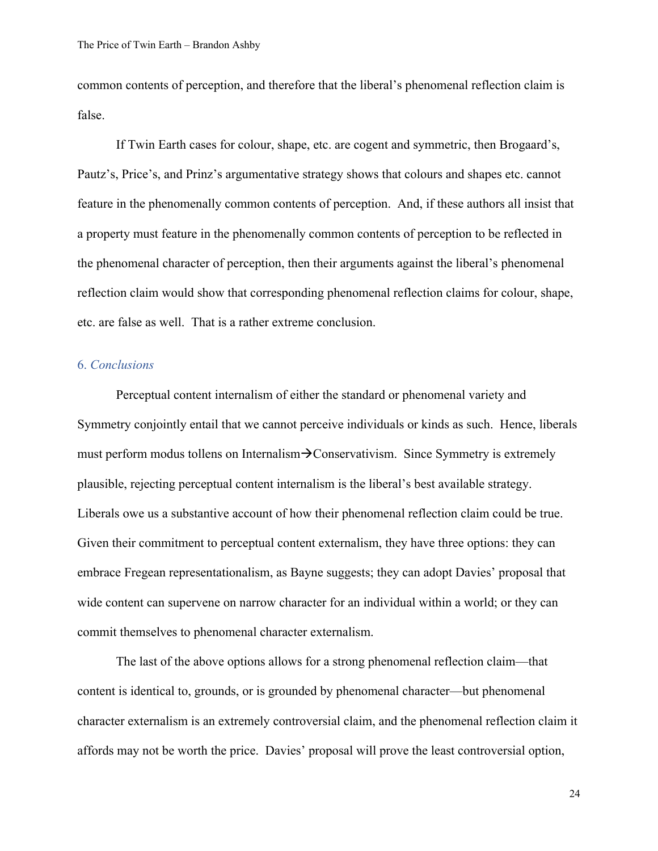common contents of perception, and therefore that the liberal's phenomenal reflection claim is false.

If Twin Earth cases for colour, shape, etc. are cogent and symmetric, then Brogaard's, Pautz's, Price's, and Prinz's argumentative strategy shows that colours and shapes etc. cannot feature in the phenomenally common contents of perception. And, if these authors all insist that a property must feature in the phenomenally common contents of perception to be reflected in the phenomenal character of perception, then their arguments against the liberal's phenomenal reflection claim would show that corresponding phenomenal reflection claims for colour, shape, etc. are false as well. That is a rather extreme conclusion.

## 6. *Conclusions*

Perceptual content internalism of either the standard or phenomenal variety and Symmetry conjointly entail that we cannot perceive individuals or kinds as such. Hence, liberals must perform modus tollens on Internalism $\rightarrow$ Conservativism. Since Symmetry is extremely plausible, rejecting perceptual content internalism is the liberal's best available strategy. Liberals owe us a substantive account of how their phenomenal reflection claim could be true. Given their commitment to perceptual content externalism, they have three options: they can embrace Fregean representationalism, as Bayne suggests; they can adopt Davies' proposal that wide content can supervene on narrow character for an individual within a world; or they can commit themselves to phenomenal character externalism.

The last of the above options allows for a strong phenomenal reflection claim—that content is identical to, grounds, or is grounded by phenomenal character—but phenomenal character externalism is an extremely controversial claim, and the phenomenal reflection claim it affords may not be worth the price. Davies' proposal will prove the least controversial option,

24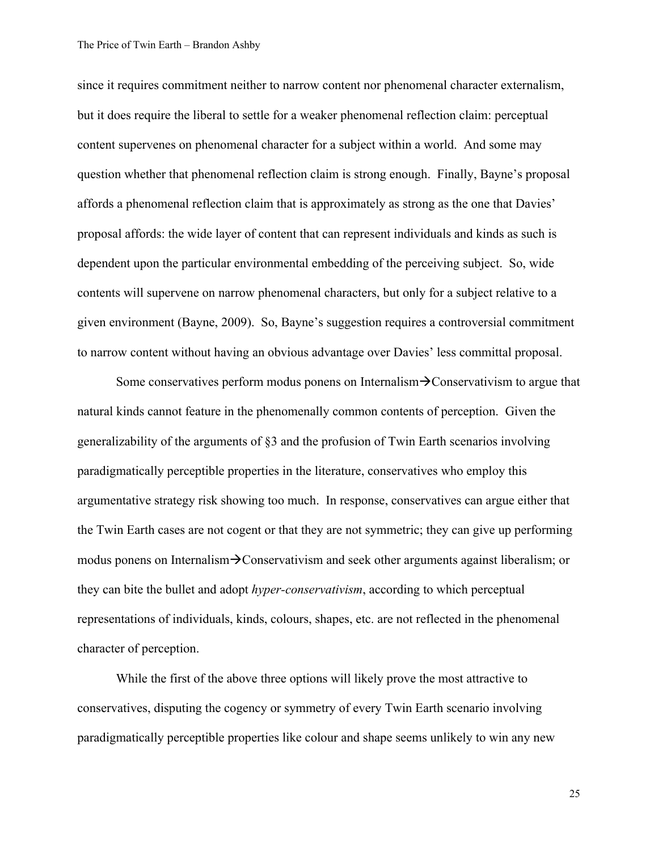#### The Price of Twin Earth – Brandon Ashby

since it requires commitment neither to narrow content nor phenomenal character externalism, but it does require the liberal to settle for a weaker phenomenal reflection claim: perceptual content supervenes on phenomenal character for a subject within a world. And some may question whether that phenomenal reflection claim is strong enough. Finally, Bayne's proposal affords a phenomenal reflection claim that is approximately as strong as the one that Davies' proposal affords: the wide layer of content that can represent individuals and kinds as such is dependent upon the particular environmental embedding of the perceiving subject. So, wide contents will supervene on narrow phenomenal characters, but only for a subject relative to a given environment (Bayne, 2009). So, Bayne's suggestion requires a controversial commitment to narrow content without having an obvious advantage over Davies' less committal proposal.

Some conservatives perform modus ponens on Internalism $\rightarrow$ Conservativism to argue that natural kinds cannot feature in the phenomenally common contents of perception. Given the generalizability of the arguments of §3 and the profusion of Twin Earth scenarios involving paradigmatically perceptible properties in the literature, conservatives who employ this argumentative strategy risk showing too much. In response, conservatives can argue either that the Twin Earth cases are not cogent or that they are not symmetric; they can give up performing modus ponens on Internalism $\rightarrow$ Conservativism and seek other arguments against liberalism; or they can bite the bullet and adopt *hyper-conservativism*, according to which perceptual representations of individuals, kinds, colours, shapes, etc. are not reflected in the phenomenal character of perception.

While the first of the above three options will likely prove the most attractive to conservatives, disputing the cogency or symmetry of every Twin Earth scenario involving paradigmatically perceptible properties like colour and shape seems unlikely to win any new

25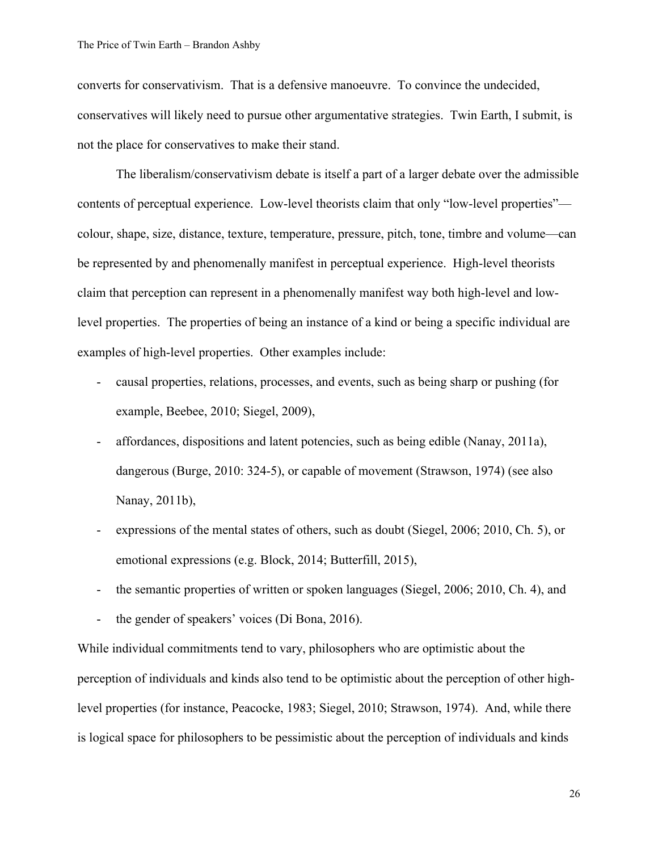converts for conservativism. That is a defensive manoeuvre. To convince the undecided, conservatives will likely need to pursue other argumentative strategies. Twin Earth, I submit, is not the place for conservatives to make their stand.

The liberalism/conservativism debate is itself a part of a larger debate over the admissible contents of perceptual experience. Low-level theorists claim that only "low-level properties" colour, shape, size, distance, texture, temperature, pressure, pitch, tone, timbre and volume—can be represented by and phenomenally manifest in perceptual experience. High-level theorists claim that perception can represent in a phenomenally manifest way both high-level and lowlevel properties. The properties of being an instance of a kind or being a specific individual are examples of high-level properties. Other examples include:

- causal properties, relations, processes, and events, such as being sharp or pushing (for example, Beebee, 2010; Siegel, 2009),
- affordances, dispositions and latent potencies, such as being edible (Nanay, 2011a), dangerous (Burge, 2010: 324-5), or capable of movement (Strawson, 1974) (see also Nanay, 2011b),
- expressions of the mental states of others, such as doubt (Siegel, 2006; 2010, Ch. 5), or emotional expressions (e.g. Block, 2014; Butterfill, 2015),
- the semantic properties of written or spoken languages (Siegel, 2006; 2010, Ch. 4), and
- the gender of speakers' voices (Di Bona, 2016).

While individual commitments tend to vary, philosophers who are optimistic about the perception of individuals and kinds also tend to be optimistic about the perception of other highlevel properties (for instance, Peacocke, 1983; Siegel, 2010; Strawson, 1974). And, while there is logical space for philosophers to be pessimistic about the perception of individuals and kinds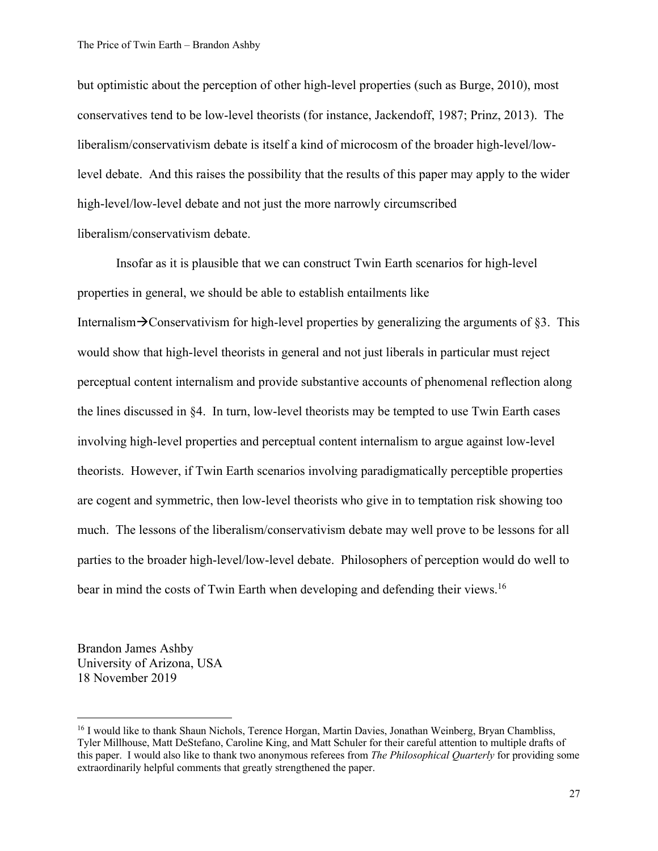but optimistic about the perception of other high-level properties (such as Burge, 2010), most conservatives tend to be low-level theorists (for instance, Jackendoff, 1987; Prinz, 2013). The liberalism/conservativism debate is itself a kind of microcosm of the broader high-level/lowlevel debate. And this raises the possibility that the results of this paper may apply to the wider high-level/low-level debate and not just the more narrowly circumscribed liberalism/conservativism debate.

Insofar as it is plausible that we can construct Twin Earth scenarios for high-level properties in general, we should be able to establish entailments like Internalism $\rightarrow$ Conservativism for high-level properties by generalizing the arguments of §3. This would show that high-level theorists in general and not just liberals in particular must reject perceptual content internalism and provide substantive accounts of phenomenal reflection along the lines discussed in §4. In turn, low-level theorists may be tempted to use Twin Earth cases involving high-level properties and perceptual content internalism to argue against low-level theorists. However, if Twin Earth scenarios involving paradigmatically perceptible properties are cogent and symmetric, then low-level theorists who give in to temptation risk showing too much. The lessons of the liberalism/conservativism debate may well prove to be lessons for all parties to the broader high-level/low-level debate. Philosophers of perception would do well to bear in mind the costs of Twin Earth when developing and defending their views.<sup>16</sup>

Brandon James Ashby University of Arizona, USA 18 November 2019

<sup>&</sup>lt;sup>16</sup> I would like to thank Shaun Nichols, Terence Horgan, Martin Davies, Jonathan Weinberg, Bryan Chambliss, Tyler Millhouse, Matt DeStefano, Caroline King, and Matt Schuler for their careful attention to multiple drafts of this paper. I would also like to thank two anonymous referees from *The Philosophical Quarterly* for providing some extraordinarily helpful comments that greatly strengthened the paper.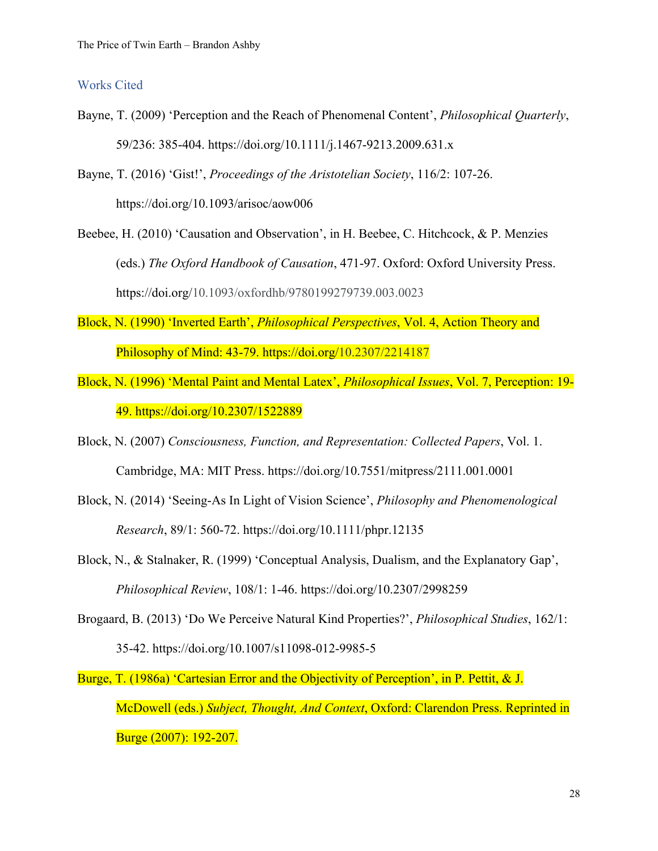The Price of Twin Earth – Brandon Ashby

#### Works Cited

- Bayne, T. (2009) 'Perception and the Reach of Phenomenal Content', *Philosophical Quarterly*, 59/236: 385-404. https://doi.org/10.1111/j.1467-9213.2009.631.x
- Bayne, T. (2016) 'Gist!', *Proceedings of the Aristotelian Society*, 116/2: 107-26. https://doi.org/10.1093/arisoc/aow006
- Beebee, H. (2010) 'Causation and Observation', in H. Beebee, C. Hitchcock, & P. Menzies (eds.) *The Oxford Handbook of Causation*, 471-97. Oxford: Oxford University Press. https://doi.org/10.1093/oxfordhb/9780199279739.003.0023
- Block, N. (1990) 'Inverted Earth', *Philosophical Perspectives*, Vol. 4, Action Theory and Philosophy of Mind: 43-79. https://doi.org/10.2307/2214187
- Block, N. (1996) 'Mental Paint and Mental Latex', *Philosophical Issues*, Vol. 7, Perception: 19- 49. https://doi.org/10.2307/1522889
- Block, N. (2007) *Consciousness, Function, and Representation: Collected Papers*, Vol. 1. Cambridge, MA: MIT Press. https://doi.org/10.7551/mitpress/2111.001.0001
- Block, N. (2014) 'Seeing-As In Light of Vision Science', *Philosophy and Phenomenological Research*, 89/1: 560-72. https://doi.org/10.1111/phpr.12135
- Block, N., & Stalnaker, R. (1999) 'Conceptual Analysis, Dualism, and the Explanatory Gap', *Philosophical Review*, 108/1: 1-46. https://doi.org/10.2307/2998259
- Brogaard, B. (2013) 'Do We Perceive Natural Kind Properties?', *Philosophical Studies*, 162/1: 35-42. https://doi.org/10.1007/s11098-012-9985-5
- Burge, T. (1986a) 'Cartesian Error and the Objectivity of Perception', in P. Pettit, & J. McDowell (eds.) *Subject, Thought, And Context*, Oxford: Clarendon Press. Reprinted in Burge (2007): 192-207.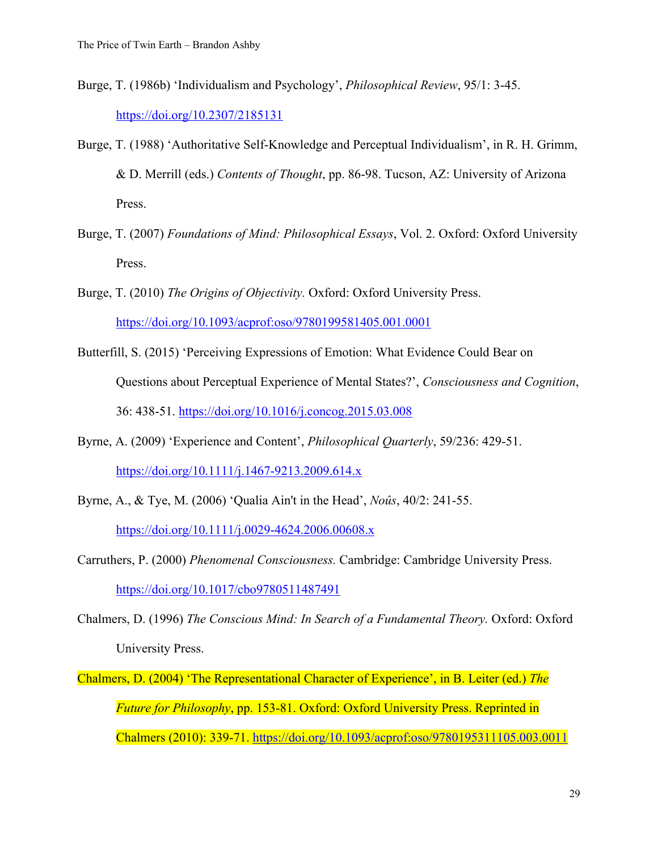- Burge, T. (1986b) 'Individualism and Psychology', *Philosophical Review*, 95/1: 3-45. https://doi.org/10.2307/2185131
- Burge, T. (1988) 'Authoritative Self-Knowledge and Perceptual Individualism', in R. H. Grimm, & D. Merrill (eds.) *Contents of Thought*, pp. 86-98. Tucson, AZ: University of Arizona Press.
- Burge, T. (2007) *Foundations of Mind: Philosophical Essays*, Vol. 2. Oxford: Oxford University Press.
- Burge, T. (2010) *The Origins of Objectivity.* Oxford: Oxford University Press. https://doi.org/10.1093/acprof:oso/9780199581405.001.0001
- Butterfill, S. (2015) 'Perceiving Expressions of Emotion: What Evidence Could Bear on Questions about Perceptual Experience of Mental States?', *Consciousness and Cognition*, 36: 438-51. https://doi.org/10.1016/j.concog.2015.03.008
- Byrne, A. (2009) 'Experience and Content', *Philosophical Quarterly*, 59/236: 429-51. https://doi.org/10.1111/j.1467-9213.2009.614.x
- Byrne, A., & Tye, M. (2006) 'Qualia Ain't in the Head', *Noûs*, 40/2: 241-55.

https://doi.org/10.1111/j.0029-4624.2006.00608.x

- Carruthers, P. (2000) *Phenomenal Consciousness.* Cambridge: Cambridge University Press. https://doi.org/10.1017/cbo9780511487491
- Chalmers, D. (1996) *The Conscious Mind: In Search of a Fundamental Theory.* Oxford: Oxford University Press.
- Chalmers, D. (2004) 'The Representational Character of Experience', in B. Leiter (ed.) *The Future for Philosophy*, pp. 153-81. Oxford: Oxford University Press. Reprinted in Chalmers (2010): 339-71. https://doi.org/10.1093/acprof:oso/9780195311105.003.0011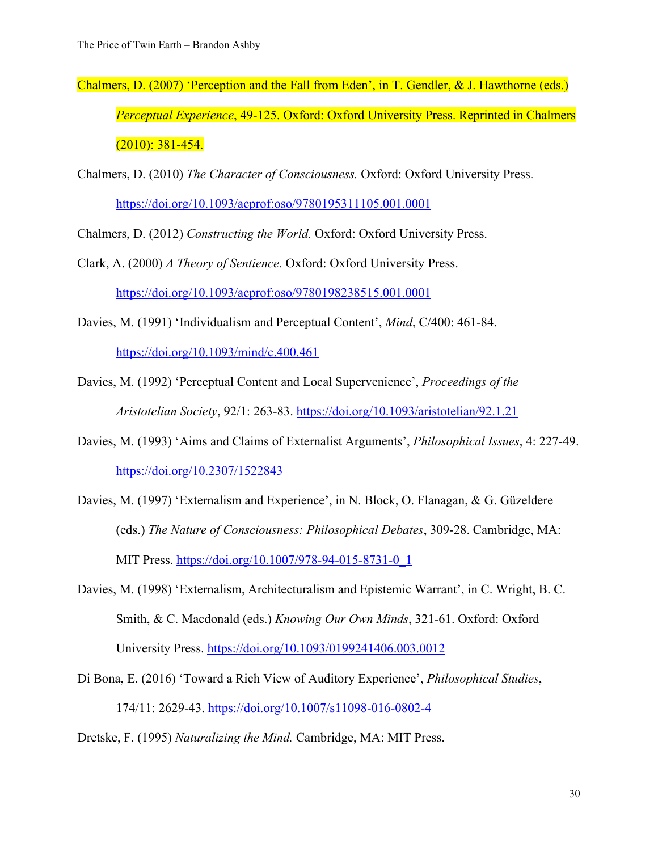- Chalmers, D. (2007) 'Perception and the Fall from Eden', in T. Gendler, & J. Hawthorne (eds.) *Perceptual Experience*, 49-125. Oxford: Oxford University Press. Reprinted in Chalmers  $(2010): 381 - 454.$
- Chalmers, D. (2010) *The Character of Consciousness.* Oxford: Oxford University Press. https://doi.org/10.1093/acprof:oso/9780195311105.001.0001

Chalmers, D. (2012) *Constructing the World.* Oxford: Oxford University Press.

Clark, A. (2000) *A Theory of Sentience.* Oxford: Oxford University Press. https://doi.org/10.1093/acprof:oso/9780198238515.001.0001

Davies, M. (1991) 'Individualism and Perceptual Content', *Mind*, C/400: 461-84.

https://doi.org/10.1093/mind/c.400.461

- Davies, M. (1992) 'Perceptual Content and Local Supervenience', *Proceedings of the Aristotelian Society*, 92/1: 263-83. https://doi.org/10.1093/aristotelian/92.1.21
- Davies, M. (1993) 'Aims and Claims of Externalist Arguments', *Philosophical Issues*, 4: 227-49. https://doi.org/10.2307/1522843
- Davies, M. (1997) 'Externalism and Experience', in N. Block, O. Flanagan, & G. Güzeldere (eds.) *The Nature of Consciousness: Philosophical Debates*, 309-28. Cambridge, MA: MIT Press. https://doi.org/10.1007/978-94-015-8731-0\_1
- Davies, M. (1998) 'Externalism, Architecturalism and Epistemic Warrant', in C. Wright, B. C. Smith, & C. Macdonald (eds.) *Knowing Our Own Minds*, 321-61. Oxford: Oxford University Press. https://doi.org/10.1093/0199241406.003.0012
- Di Bona, E. (2016) 'Toward a Rich View of Auditory Experience', *Philosophical Studies*, 174/11: 2629-43. https://doi.org/10.1007/s11098-016-0802-4
- Dretske, F. (1995) *Naturalizing the Mind.* Cambridge, MA: MIT Press.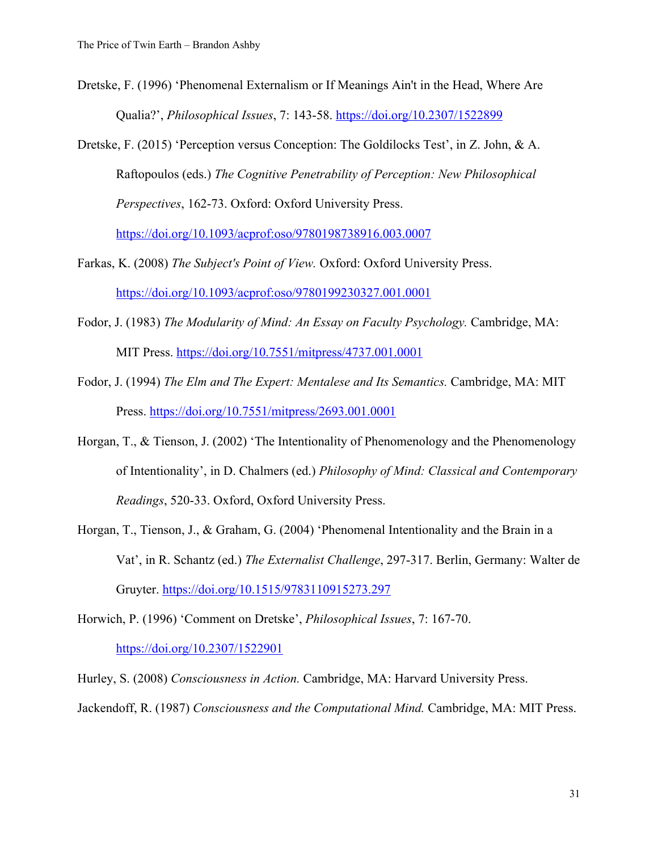- Dretske, F. (1996) 'Phenomenal Externalism or If Meanings Ain't in the Head, Where Are Qualia?', *Philosophical Issues*, 7: 143-58. https://doi.org/10.2307/1522899
- Dretske, F. (2015) 'Perception versus Conception: The Goldilocks Test', in Z. John, & A. Raftopoulos (eds.) *The Cognitive Penetrability of Perception: New Philosophical Perspectives*, 162-73. Oxford: Oxford University Press.

https://doi.org/10.1093/acprof:oso/9780198738916.003.0007

- Farkas, K. (2008) *The Subject's Point of View.* Oxford: Oxford University Press. https://doi.org/10.1093/acprof:oso/9780199230327.001.0001
- Fodor, J. (1983) *The Modularity of Mind: An Essay on Faculty Psychology.* Cambridge, MA: MIT Press. https://doi.org/10.7551/mitpress/4737.001.0001
- Fodor, J. (1994) *The Elm and The Expert: Mentalese and Its Semantics.* Cambridge, MA: MIT Press. https://doi.org/10.7551/mitpress/2693.001.0001
- Horgan, T., & Tienson, J. (2002) 'The Intentionality of Phenomenology and the Phenomenology of Intentionality', in D. Chalmers (ed.) *Philosophy of Mind: Classical and Contemporary Readings*, 520-33. Oxford, Oxford University Press.
- Horgan, T., Tienson, J., & Graham, G. (2004) 'Phenomenal Intentionality and the Brain in a Vat', in R. Schantz (ed.) *The Externalist Challenge*, 297-317. Berlin, Germany: Walter de Gruyter. https://doi.org/10.1515/9783110915273.297

Horwich, P. (1996) 'Comment on Dretske', *Philosophical Issues*, 7: 167-70. https://doi.org/10.2307/1522901

Hurley, S. (2008) *Consciousness in Action.* Cambridge, MA: Harvard University Press.

Jackendoff, R. (1987) *Consciousness and the Computational Mind.* Cambridge, MA: MIT Press.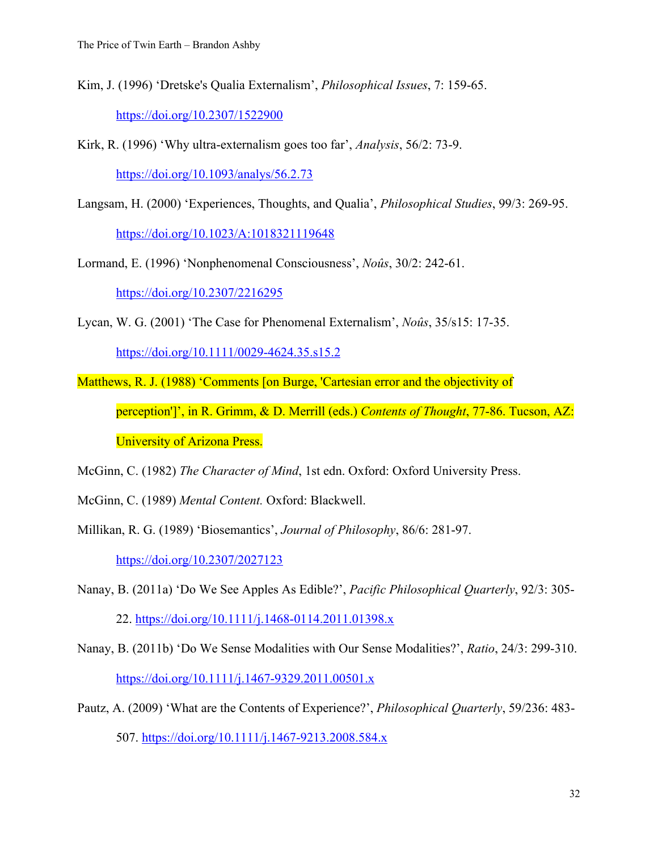Kim, J. (1996) 'Dretske's Qualia Externalism', *Philosophical Issues*, 7: 159-65.

https://doi.org/10.2307/1522900

Kirk, R. (1996) 'Why ultra-externalism goes too far', *Analysis*, 56/2: 73-9.

https://doi.org/10.1093/analys/56.2.73

Langsam, H. (2000) 'Experiences, Thoughts, and Qualia', *Philosophical Studies*, 99/3: 269-95.

https://doi.org/10.1023/A:1018321119648

Lormand, E. (1996) 'Nonphenomenal Consciousness', *Noûs*, 30/2: 242-61.

https://doi.org/10.2307/2216295

Lycan, W. G. (2001) 'The Case for Phenomenal Externalism', *Noûs*, 35/s15: 17-35.

https://doi.org/10.1111/0029-4624.35.s15.2

Matthews, R. J. (1988) 'Comments [on Burge, 'Cartesian error and the objectivity of perception']', in R. Grimm, & D. Merrill (eds.) *Contents of Thought*, 77-86. Tucson, AZ: University of Arizona Press.

McGinn, C. (1982) *The Character of Mind*, 1st edn. Oxford: Oxford University Press.

- McGinn, C. (1989) *Mental Content.* Oxford: Blackwell.
- Millikan, R. G. (1989) 'Biosemantics', *Journal of Philosophy*, 86/6: 281-97. https://doi.org/10.2307/2027123
- Nanay, B. (2011a) 'Do We See Apples As Edible?', *Pacific Philosophical Quarterly*, 92/3: 305-
	- 22. https://doi.org/10.1111/j.1468-0114.2011.01398.x
- Nanay, B. (2011b) 'Do We Sense Modalities with Our Sense Modalities?', *Ratio*, 24/3: 299-310. https://doi.org/10.1111/j.1467-9329.2011.00501.x
- Pautz, A. (2009) 'What are the Contents of Experience?', *Philosophical Quarterly*, 59/236: 483- 507. https://doi.org/10.1111/j.1467-9213.2008.584.x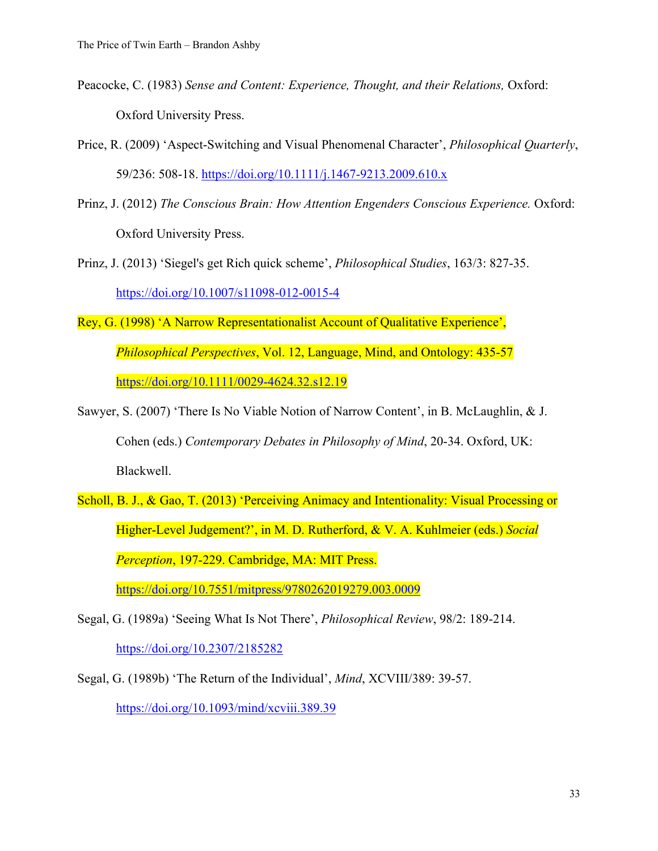- Peacocke, C. (1983) *Sense and Content: Experience, Thought, and their Relations,* Oxford: Oxford University Press.
- Price, R. (2009) 'Aspect-Switching and Visual Phenomenal Character', *Philosophical Quarterly*, 59/236: 508-18. https://doi.org/10.1111/j.1467-9213.2009.610.x
- Prinz, J. (2012) *The Conscious Brain: How Attention Engenders Conscious Experience.* Oxford: Oxford University Press.
- Prinz, J. (2013) 'Siegel's get Rich quick scheme', *Philosophical Studies*, 163/3: 827-35. https://doi.org/10.1007/s11098-012-0015-4

Rey, G. (1998) 'A Narrow Representationalist Account of Qualitative Experience', *Philosophical Perspectives*, Vol. 12, Language, Mind, and Ontology: 435-57 https://doi.org/10.1111/0029-4624.32.s12.19

- Sawyer, S. (2007) 'There Is No Viable Notion of Narrow Content', in B. McLaughlin, & J. Cohen (eds.) *Contemporary Debates in Philosophy of Mind*, 20-34. Oxford, UK: Blackwell.
- Scholl, B. J., & Gao, T. (2013) 'Perceiving Animacy and Intentionality: Visual Processing or Higher-Level Judgement?', in M. D. Rutherford, & V. A. Kuhlmeier (eds.) *Social Perception*, 197-229. Cambridge, MA: MIT Press. https://doi.org/10.7551/mitpress/9780262019279.003.0009
- Segal, G. (1989a) 'Seeing What Is Not There', *Philosophical Review*, 98/2: 189-214. https://doi.org/10.2307/2185282
- Segal, G. (1989b) 'The Return of the Individual', *Mind*, XCVIII/389: 39-57.

https://doi.org/10.1093/mind/xcviii.389.39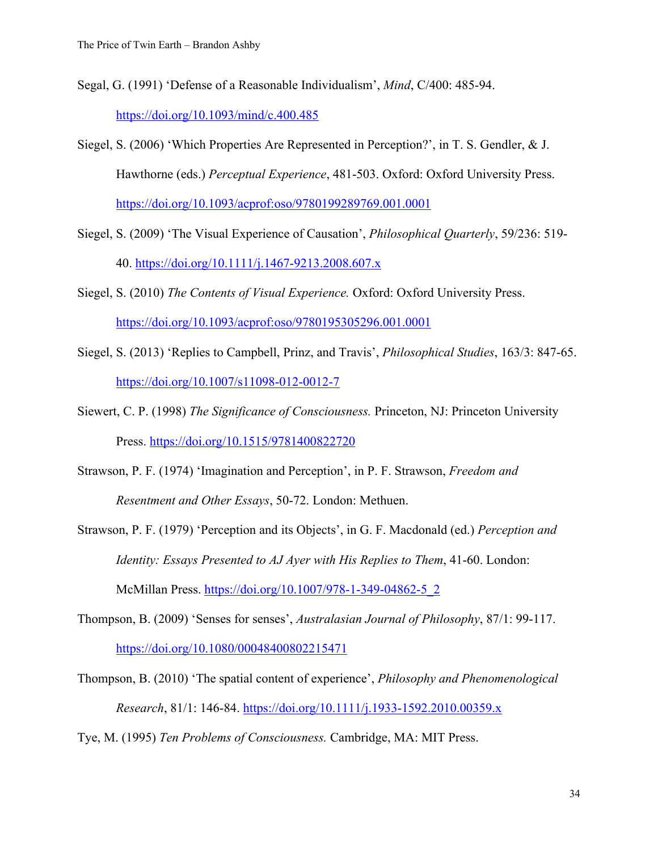- Segal, G. (1991) 'Defense of a Reasonable Individualism', *Mind*, C/400: 485-94. https://doi.org/10.1093/mind/c.400.485
- Siegel, S. (2006) 'Which Properties Are Represented in Perception?', in T. S. Gendler, & J. Hawthorne (eds.) *Perceptual Experience*, 481-503. Oxford: Oxford University Press. https://doi.org/10.1093/acprof:oso/9780199289769.001.0001
- Siegel, S. (2009) 'The Visual Experience of Causation', *Philosophical Quarterly*, 59/236: 519- 40. https://doi.org/10.1111/j.1467-9213.2008.607.x
- Siegel, S. (2010) *The Contents of Visual Experience.* Oxford: Oxford University Press. https://doi.org/10.1093/acprof:oso/9780195305296.001.0001
- Siegel, S. (2013) 'Replies to Campbell, Prinz, and Travis', *Philosophical Studies*, 163/3: 847-65. https://doi.org/10.1007/s11098-012-0012-7
- Siewert, C. P. (1998) *The Significance of Consciousness.* Princeton, NJ: Princeton University Press. https://doi.org/10.1515/9781400822720
- Strawson, P. F. (1974) 'Imagination and Perception', in P. F. Strawson, *Freedom and Resentment and Other Essays*, 50-72. London: Methuen.
- Strawson, P. F. (1979) 'Perception and its Objects', in G. F. Macdonald (ed.) *Perception and Identity: Essays Presented to AJ Ayer with His Replies to Them*, 41-60. London: McMillan Press. https://doi.org/10.1007/978-1-349-04862-5\_2
- Thompson, B. (2009) 'Senses for senses', *Australasian Journal of Philosophy*, 87/1: 99-117. https://doi.org/10.1080/00048400802215471
- Thompson, B. (2010) 'The spatial content of experience', *Philosophy and Phenomenological Research*, 81/1: 146-84. https://doi.org/10.1111/j.1933-1592.2010.00359.x
- Tye, M. (1995) *Ten Problems of Consciousness.* Cambridge, MA: MIT Press.